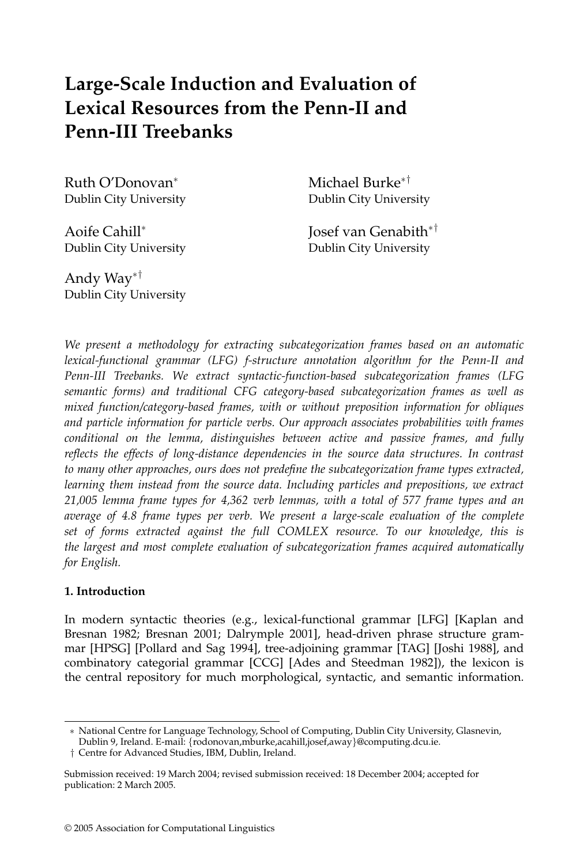# **Large-Scale Induction and Evaluation of Lexical Resources from the Penn-II and Penn-III Treebanks**

Ruth O'Donovan<sup>∗</sup> Dublin City University Michael Burke∗† Dublin City University

Aoife Cahill<sup>∗</sup> Dublin City University Josef van Genabith∗† Dublin City University

Andy Way∗† Dublin City University

*We present a methodology for extracting subcategorization frames based on an automatic lexical-functional grammar (LFG) f-structure annotation algorithm for the Penn-II and Penn-III Treebanks. We extract syntactic-function-based subcategorization frames (LFG semantic forms) and traditional CFG category-based subcategorization frames as well as mixed function/category-based frames, with or without preposition information for obliques and particle information for particle verbs. Our approach associates probabilities with frames conditional on the lemma, distinguishes between active and passive frames, and fully reflects the effects of long-distance dependencies in the source data structures. In contrast to many other approaches, ours does not predefine the subcategorization frame types extracted, learning them instead from the source data. Including particles and prepositions, we extract 21,005 lemma frame types for 4,362 verb lemmas, with a total of 577 frame types and an average of 4.8 frame types per verb. We present a large-scale evaluation of the complete set of forms extracted against the full COMLEX resource. To our knowledge, this is the largest and most complete evaluation of subcategorization frames acquired automatically for English.*

# **1. Introduction**

In modern syntactic theories (e.g., lexical-functional grammar [LFG] [Kaplan and Bresnan 1982; Bresnan 2001; Dalrymple 2001], head-driven phrase structure grammar [HPSG] [Pollard and Sag 1994], tree-adjoining grammar [TAG] [Joshi 1988], and combinatory categorial grammar [CCG] [Ades and Steedman 1982]), the lexicon is the central repository for much morphological, syntactic, and semantic information.

<sup>∗</sup> National Centre for Language Technology, School of Computing, Dublin City University, Glasnevin,

Dublin 9, Ireland. E-mail: {rodonovan,mburke,acahill,josef,away}@computing.dcu.ie.

<sup>†</sup> Centre for Advanced Studies, IBM, Dublin, Ireland.

Submission received: 19 March 2004; revised submission received: 18 December 2004; accepted for publication: 2 March 2005.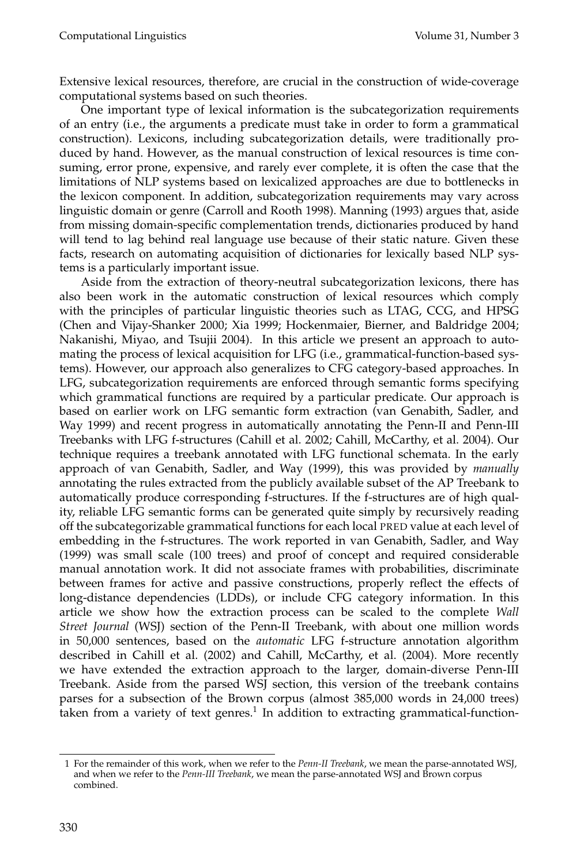Extensive lexical resources, therefore, are crucial in the construction of wide-coverage computational systems based on such theories.

One important type of lexical information is the subcategorization requirements of an entry (i.e., the arguments a predicate must take in order to form a grammatical construction). Lexicons, including subcategorization details, were traditionally produced by hand. However, as the manual construction of lexical resources is time consuming, error prone, expensive, and rarely ever complete, it is often the case that the limitations of NLP systems based on lexicalized approaches are due to bottlenecks in the lexicon component. In addition, subcategorization requirements may vary across linguistic domain or genre (Carroll and Rooth 1998). Manning (1993) argues that, aside from missing domain-specific complementation trends, dictionaries produced by hand will tend to lag behind real language use because of their static nature. Given these facts, research on automating acquisition of dictionaries for lexically based NLP systems is a particularly important issue.

Aside from the extraction of theory-neutral subcategorization lexicons, there has also been work in the automatic construction of lexical resources which comply with the principles of particular linguistic theories such as LTAG, CCG, and HPSG (Chen and Vijay-Shanker 2000; Xia 1999; Hockenmaier, Bierner, and Baldridge 2004; Nakanishi, Miyao, and Tsujii 2004). In this article we present an approach to automating the process of lexical acquisition for LFG (i.e., grammatical-function-based systems). However, our approach also generalizes to CFG category-based approaches. In LFG, subcategorization requirements are enforced through semantic forms specifying which grammatical functions are required by a particular predicate. Our approach is based on earlier work on LFG semantic form extraction (van Genabith, Sadler, and Way 1999) and recent progress in automatically annotating the Penn-II and Penn-III Treebanks with LFG f-structures (Cahill et al. 2002; Cahill, McCarthy, et al. 2004). Our technique requires a treebank annotated with LFG functional schemata. In the early approach of van Genabith, Sadler, and Way (1999), this was provided by *manually* annotating the rules extracted from the publicly available subset of the AP Treebank to automatically produce corresponding f-structures. If the f-structures are of high quality, reliable LFG semantic forms can be generated quite simply by recursively reading off the subcategorizable grammatical functions for each local PRED value at each level of embedding in the f-structures. The work reported in van Genabith, Sadler, and Way (1999) was small scale (100 trees) and proof of concept and required considerable manual annotation work. It did not associate frames with probabilities, discriminate between frames for active and passive constructions, properly reflect the effects of long-distance dependencies (LDDs), or include CFG category information. In this article we show how the extraction process can be scaled to the complete *Wall Street Journal* (WSJ) section of the Penn-II Treebank, with about one million words in 50,000 sentences, based on the *automatic* LFG f-structure annotation algorithm described in Cahill et al. (2002) and Cahill, McCarthy, et al. (2004). More recently we have extended the extraction approach to the larger, domain-diverse Penn-III Treebank. Aside from the parsed WSJ section, this version of the treebank contains parses for a subsection of the Brown corpus (almost 385,000 words in 24,000 trees) taken from a variety of text genres.<sup>1</sup> In addition to extracting grammatical-function-

<sup>1</sup> For the remainder of this work, when we refer to the *Penn-II Treebank*, we mean the parse-annotated WSJ, and when we refer to the *Penn-III Treebank*, we mean the parse-annotated WSJ and Brown corpus combined.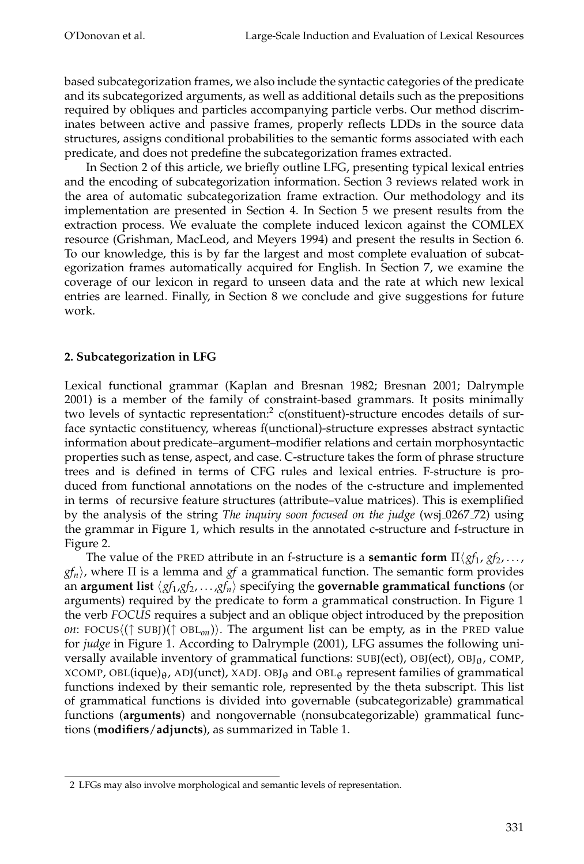based subcategorization frames, we also include the syntactic categories of the predicate and its subcategorized arguments, as well as additional details such as the prepositions required by obliques and particles accompanying particle verbs. Our method discriminates between active and passive frames, properly reflects LDDs in the source data structures, assigns conditional probabilities to the semantic forms associated with each predicate, and does not predefine the subcategorization frames extracted.

In Section 2 of this article, we briefly outline LFG, presenting typical lexical entries and the encoding of subcategorization information. Section 3 reviews related work in the area of automatic subcategorization frame extraction. Our methodology and its implementation are presented in Section 4. In Section 5 we present results from the extraction process. We evaluate the complete induced lexicon against the COMLEX resource (Grishman, MacLeod, and Meyers 1994) and present the results in Section 6. To our knowledge, this is by far the largest and most complete evaluation of subcategorization frames automatically acquired for English. In Section 7, we examine the coverage of our lexicon in regard to unseen data and the rate at which new lexical entries are learned. Finally, in Section 8 we conclude and give suggestions for future work.

# **2. Subcategorization in LFG**

Lexical functional grammar (Kaplan and Bresnan 1982; Bresnan 2001; Dalrymple 2001) is a member of the family of constraint-based grammars. It posits minimally two levels of syntactic representation:<sup>2</sup> c(onstituent)-structure encodes details of surface syntactic constituency, whereas f(unctional)-structure expresses abstract syntactic information about predicate–argument–modifier relations and certain morphosyntactic properties such as tense, aspect, and case. C-structure takes the form of phrase structure trees and is defined in terms of CFG rules and lexical entries. F-structure is produced from functional annotations on the nodes of the c-structure and implemented in terms of recursive feature structures (attribute–value matrices). This is exemplified by the analysis of the string *The inquiry soon focused on the judge* (wsj 0267 72) using the grammar in Figure 1, which results in the annotated c-structure and f-structure in Figure 2.

The value of the PRED attribute in an f-structure is a **semantic form**  $\Pi \langle g f_1, g f_2, \ldots, g f_n \rangle$ *gfn*, where Π is a lemma and *gf* a grammatical function. The semantic form provides an **argument list**  $\langle gf_1, gf_2, \ldots, gf_n \rangle$  specifying the **governable grammatical functions** (or arguments) required by the predicate to form a grammatical construction. In Figure 1 the verb *FOCUS* requires a subject and an oblique object introduced by the preposition *on*: FOCUS((↑ SUBJ)(↑ OBL<sub>on</sub>)). The argument list can be empty, as in the PRED value for *judge* in Figure 1. According to Dalrymple (2001), LFG assumes the following universally available inventory of grammatical functions:  $SUBJ(ect)$ ,  $OBJ(ect)$ ,  $OBI<sub>θ</sub>$ ,  $COMP$ , XCOMP, OBL(ique) $\theta$ , ADJ(unct), XADJ. OBJ $\theta$  and OBL $\theta$  represent families of grammatical functions indexed by their semantic role, represented by the theta subscript. This list of grammatical functions is divided into governable (subcategorizable) grammatical functions (**arguments**) and nongovernable (nonsubcategorizable) grammatical functions (**modifiers**/**adjuncts**), as summarized in Table 1.

<sup>2</sup> LFGs may also involve morphological and semantic levels of representation.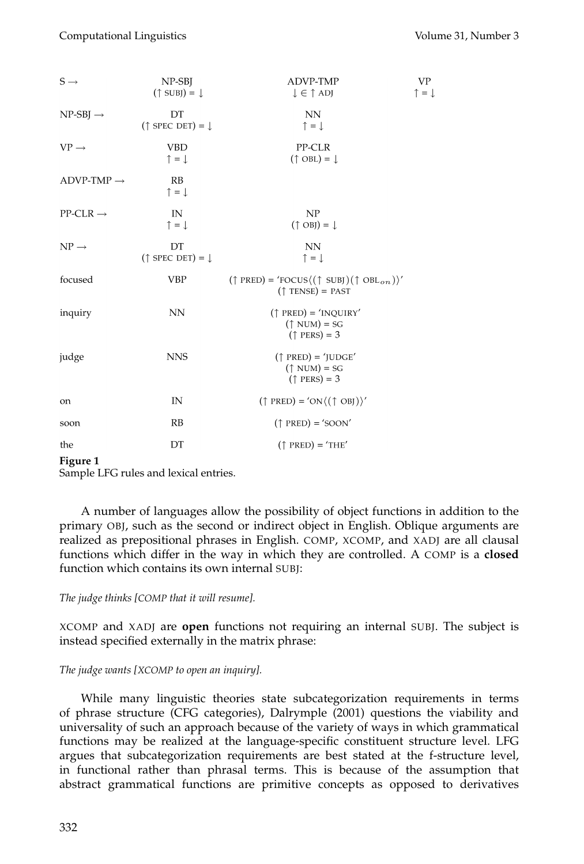| $S \rightarrow$            | NP-SBJ<br>$(\uparrow$ SUBJ $) = \downarrow$ | <b>ADVP-TMP</b><br>$\downarrow$ $\in$ $\uparrow$ ADJ                                                                | <b>VP</b><br>$\uparrow = \downarrow$ |
|----------------------------|---------------------------------------------|---------------------------------------------------------------------------------------------------------------------|--------------------------------------|
| $NP-SBI \rightarrow$       | DT<br>$(\uparrow$ SPEC DET) = $\downarrow$  | <b>NN</b><br>$\uparrow$ = $\downarrow$                                                                              |                                      |
| $VP \rightarrow$           | <b>VBD</b><br>$\uparrow = \downarrow$       | PP-CLR<br>$($ $\uparrow$ OBL $) = \downarrow$                                                                       |                                      |
| $ADVP-TMP \rightarrow$     | RB<br>$\uparrow = \downarrow$               |                                                                                                                     |                                      |
| $PP-CLR \rightarrow$       | IN<br>$\uparrow = \downarrow$               | NP<br>$(†$ OBJ $) = \downarrow$                                                                                     |                                      |
| $NP \rightarrow$           | DT<br>$(\uparrow$ SPEC DET) = $\downarrow$  | NN<br>$\uparrow = \downarrow$                                                                                       |                                      |
| focused                    | <b>VBP</b>                                  | $(\uparrow$ PRED) = 'FOCUS $\langle (\uparrow$ SUBJ $)(\uparrow$ OBL <sub>on</sub> )''<br>$(\uparrow$ TENSE) = PAST |                                      |
| inquiry                    | <b>NN</b>                                   | $(\uparrow$ PRED) = 'INQUIRY'<br>$(\uparrow$ NUM) = SG<br>$(†$ PERS) = 3                                            |                                      |
| judge                      | <b>NNS</b>                                  | $(\uparrow$ PRED) = 'JUDGE'<br>$(\uparrow$ NUM) = SG<br>$(†$ PERS) = 3                                              |                                      |
| on                         | IN                                          | $(\uparrow$ PRED) = 'ON $\langle (\uparrow$ OBJ) $\rangle'$                                                         |                                      |
| soon                       | RB                                          | $(\uparrow$ PRED) = 'SOON'                                                                                          |                                      |
| the<br>$E_{i}^{2}$ and $1$ | DT                                          | $(\uparrow$ PRED) = 'THE'                                                                                           |                                      |

#### **Figure 1**

Sample LFG rules and lexical entries.

A number of languages allow the possibility of object functions in addition to the primary OBJ, such as the second or indirect object in English. Oblique arguments are realized as prepositional phrases in English. COMP, XCOMP, and XADJ are all clausal functions which differ in the way in which they are controlled. A COMP is a **closed** function which contains its own internal SUBJ:

## *The judge thinks [COMP that it will resume].*

XCOMP and XADJ are **open** functions not requiring an internal SUBJ. The subject is instead specified externally in the matrix phrase:

## *The judge wants [XCOMP to open an inquiry].*

While many linguistic theories state subcategorization requirements in terms of phrase structure (CFG categories), Dalrymple (2001) questions the viability and universality of such an approach because of the variety of ways in which grammatical functions may be realized at the language-specific constituent structure level. LFG argues that subcategorization requirements are best stated at the f-structure level, in functional rather than phrasal terms. This is because of the assumption that abstract grammatical functions are primitive concepts as opposed to derivatives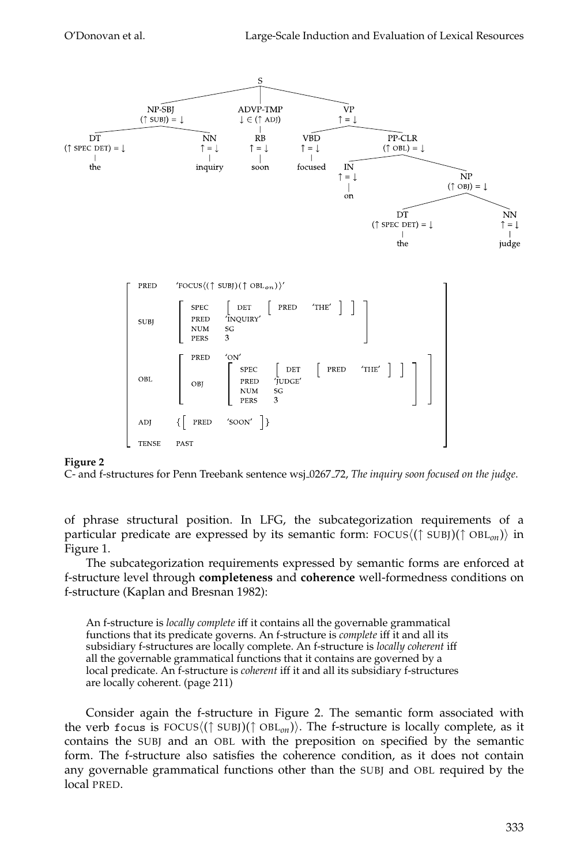

#### **Figure 2**

C- and f-structures for Penn Treebank sentence wsj 0267 72, *The inquiry soon focused on the judge*.

of phrase structural position. In LFG, the subcategorization requirements of a particular predicate are expressed by its semantic form: FOCUS(↑ SUBJ)(↑ OBL*on*) in Figure 1.

The subcategorization requirements expressed by semantic forms are enforced at f-structure level through **completeness** and **coherence** well-formedness conditions on f-structure (Kaplan and Bresnan 1982):

An f-structure is *locally complete* iff it contains all the governable grammatical functions that its predicate governs. An f-structure is *complete* iff it and all its subsidiary f-structures are locally complete. An f-structure is *locally coherent* iff all the governable grammatical functions that it contains are governed by a local predicate. An f-structure is *coherent* iff it and all its subsidiary f-structures are locally coherent. (page 211)

Consider again the f-structure in Figure 2. The semantic form associated with the verb focus is FOCUS(↑ SUBJ)(↑ OBL*on*). The f-structure is locally complete, as it contains the SUBJ and an OBL with the preposition on specified by the semantic form. The f-structure also satisfies the coherence condition, as it does not contain any governable grammatical functions other than the SUBJ and OBL required by the local PRED.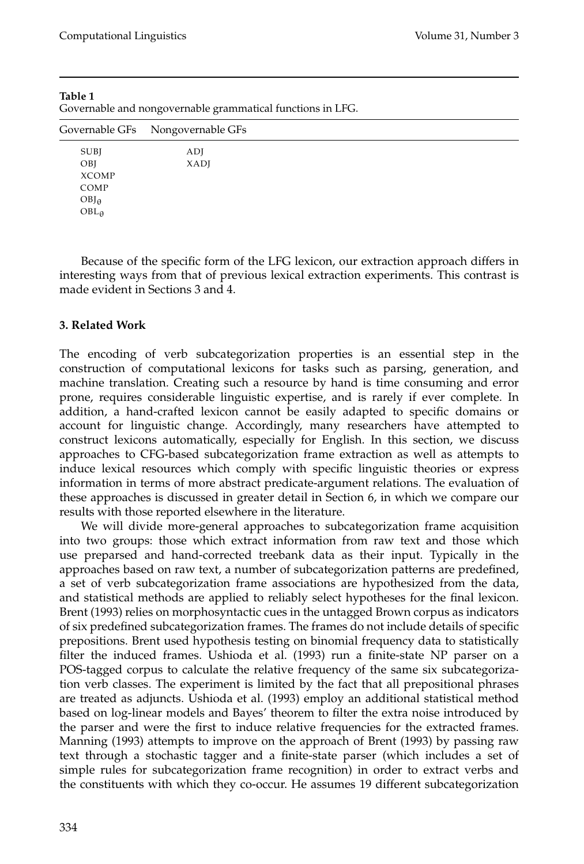|                  | Governable GFs Nongovernable GFs |
|------------------|----------------------------------|
| <b>SUBJ</b>      | ADJ                              |
| OBJ              | XADJ                             |
| <b>XCOMP</b>     |                                  |
| COMP             |                                  |
| $OBJ_{\theta}$   |                                  |
| OBL <sub>θ</sub> |                                  |

Governable and nongovernable grammatical functions in LFG.

Because of the specific form of the LFG lexicon, our extraction approach differs in interesting ways from that of previous lexical extraction experiments. This contrast is made evident in Sections 3 and 4.

## **3. Related Work**

The encoding of verb subcategorization properties is an essential step in the construction of computational lexicons for tasks such as parsing, generation, and machine translation. Creating such a resource by hand is time consuming and error prone, requires considerable linguistic expertise, and is rarely if ever complete. In addition, a hand-crafted lexicon cannot be easily adapted to specific domains or account for linguistic change. Accordingly, many researchers have attempted to construct lexicons automatically, especially for English. In this section, we discuss approaches to CFG-based subcategorization frame extraction as well as attempts to induce lexical resources which comply with specific linguistic theories or express information in terms of more abstract predicate-argument relations. The evaluation of these approaches is discussed in greater detail in Section 6, in which we compare our results with those reported elsewhere in the literature.

We will divide more-general approaches to subcategorization frame acquisition into two groups: those which extract information from raw text and those which use preparsed and hand-corrected treebank data as their input. Typically in the approaches based on raw text, a number of subcategorization patterns are predefined, a set of verb subcategorization frame associations are hypothesized from the data, and statistical methods are applied to reliably select hypotheses for the final lexicon. Brent (1993) relies on morphosyntactic cues in the untagged Brown corpus as indicators of six predefined subcategorization frames. The frames do not include details of specific prepositions. Brent used hypothesis testing on binomial frequency data to statistically filter the induced frames. Ushioda et al. (1993) run a finite-state NP parser on a POS-tagged corpus to calculate the relative frequency of the same six subcategorization verb classes. The experiment is limited by the fact that all prepositional phrases are treated as adjuncts. Ushioda et al. (1993) employ an additional statistical method based on log-linear models and Bayes' theorem to filter the extra noise introduced by the parser and were the first to induce relative frequencies for the extracted frames. Manning (1993) attempts to improve on the approach of Brent (1993) by passing raw text through a stochastic tagger and a finite-state parser (which includes a set of simple rules for subcategorization frame recognition) in order to extract verbs and the constituents with which they co-occur. He assumes 19 different subcategorization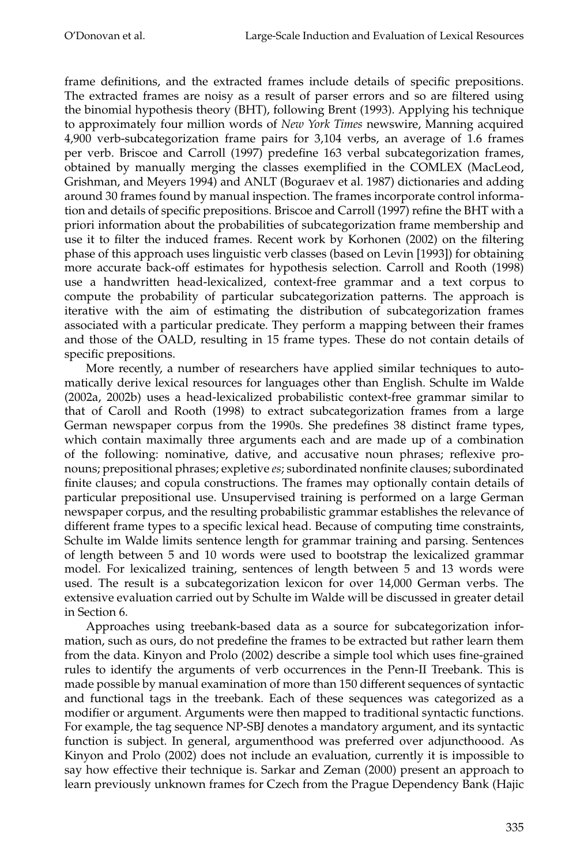frame definitions, and the extracted frames include details of specific prepositions. The extracted frames are noisy as a result of parser errors and so are filtered using the binomial hypothesis theory (BHT), following Brent (1993). Applying his technique to approximately four million words of *New York Times* newswire, Manning acquired 4,900 verb-subcategorization frame pairs for 3,104 verbs, an average of 1.6 frames per verb. Briscoe and Carroll (1997) predefine 163 verbal subcategorization frames, obtained by manually merging the classes exemplified in the COMLEX (MacLeod, Grishman, and Meyers 1994) and ANLT (Boguraev et al. 1987) dictionaries and adding around 30 frames found by manual inspection. The frames incorporate control information and details of specific prepositions. Briscoe and Carroll (1997) refine the BHT with a priori information about the probabilities of subcategorization frame membership and use it to filter the induced frames. Recent work by Korhonen (2002) on the filtering phase of this approach uses linguistic verb classes (based on Levin [1993]) for obtaining more accurate back-off estimates for hypothesis selection. Carroll and Rooth (1998) use a handwritten head-lexicalized, context-free grammar and a text corpus to compute the probability of particular subcategorization patterns. The approach is iterative with the aim of estimating the distribution of subcategorization frames associated with a particular predicate. They perform a mapping between their frames and those of the OALD, resulting in 15 frame types. These do not contain details of specific prepositions.

More recently, a number of researchers have applied similar techniques to automatically derive lexical resources for languages other than English. Schulte im Walde (2002a, 2002b) uses a head-lexicalized probabilistic context-free grammar similar to that of Caroll and Rooth (1998) to extract subcategorization frames from a large German newspaper corpus from the 1990s. She predefines 38 distinct frame types, which contain maximally three arguments each and are made up of a combination of the following: nominative, dative, and accusative noun phrases; reflexive pronouns; prepositional phrases; expletive *es*; subordinated nonfinite clauses; subordinated finite clauses; and copula constructions. The frames may optionally contain details of particular prepositional use. Unsupervised training is performed on a large German newspaper corpus, and the resulting probabilistic grammar establishes the relevance of different frame types to a specific lexical head. Because of computing time constraints, Schulte im Walde limits sentence length for grammar training and parsing. Sentences of length between 5 and 10 words were used to bootstrap the lexicalized grammar model. For lexicalized training, sentences of length between 5 and 13 words were used. The result is a subcategorization lexicon for over 14,000 German verbs. The extensive evaluation carried out by Schulte im Walde will be discussed in greater detail in Section 6.

Approaches using treebank-based data as a source for subcategorization information, such as ours, do not predefine the frames to be extracted but rather learn them from the data. Kinyon and Prolo (2002) describe a simple tool which uses fine-grained rules to identify the arguments of verb occurrences in the Penn-II Treebank. This is made possible by manual examination of more than 150 different sequences of syntactic and functional tags in the treebank. Each of these sequences was categorized as a modifier or argument. Arguments were then mapped to traditional syntactic functions. For example, the tag sequence NP-SBJ denotes a mandatory argument, and its syntactic function is subject. In general, argumenthood was preferred over adjuncthoood. As Kinyon and Prolo (2002) does not include an evaluation, currently it is impossible to say how effective their technique is. Sarkar and Zeman (2000) present an approach to learn previously unknown frames for Czech from the Prague Dependency Bank (Hajic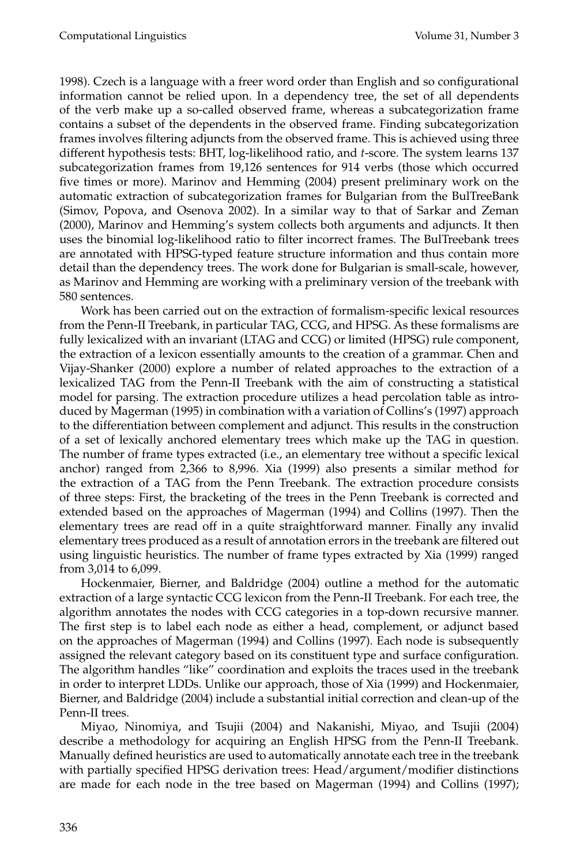1998). Czech is a language with a freer word order than English and so configurational information cannot be relied upon. In a dependency tree, the set of all dependents of the verb make up a so-called observed frame, whereas a subcategorization frame contains a subset of the dependents in the observed frame. Finding subcategorization frames involves filtering adjuncts from the observed frame. This is achieved using three different hypothesis tests: BHT, log-likelihood ratio, and *t*-score. The system learns 137 subcategorization frames from 19,126 sentences for 914 verbs (those which occurred five times or more). Marinov and Hemming (2004) present preliminary work on the automatic extraction of subcategorization frames for Bulgarian from the BulTreeBank (Simov, Popova, and Osenova 2002). In a similar way to that of Sarkar and Zeman (2000), Marinov and Hemming's system collects both arguments and adjuncts. It then uses the binomial log-likelihood ratio to filter incorrect frames. The BulTreebank trees are annotated with HPSG-typed feature structure information and thus contain more detail than the dependency trees. The work done for Bulgarian is small-scale, however, as Marinov and Hemming are working with a preliminary version of the treebank with 580 sentences.

Work has been carried out on the extraction of formalism-specific lexical resources from the Penn-II Treebank, in particular TAG, CCG, and HPSG. As these formalisms are fully lexicalized with an invariant (LTAG and CCG) or limited (HPSG) rule component, the extraction of a lexicon essentially amounts to the creation of a grammar. Chen and Vijay-Shanker (2000) explore a number of related approaches to the extraction of a lexicalized TAG from the Penn-II Treebank with the aim of constructing a statistical model for parsing. The extraction procedure utilizes a head percolation table as introduced by Magerman (1995) in combination with a variation of Collins's (1997) approach to the differentiation between complement and adjunct. This results in the construction of a set of lexically anchored elementary trees which make up the TAG in question. The number of frame types extracted (i.e., an elementary tree without a specific lexical anchor) ranged from 2,366 to 8,996. Xia (1999) also presents a similar method for the extraction of a TAG from the Penn Treebank. The extraction procedure consists of three steps: First, the bracketing of the trees in the Penn Treebank is corrected and extended based on the approaches of Magerman (1994) and Collins (1997). Then the elementary trees are read off in a quite straightforward manner. Finally any invalid elementary trees produced as a result of annotation errors in the treebank are filtered out using linguistic heuristics. The number of frame types extracted by Xia (1999) ranged from 3,014 to 6,099.

Hockenmaier, Bierner, and Baldridge (2004) outline a method for the automatic extraction of a large syntactic CCG lexicon from the Penn-II Treebank. For each tree, the algorithm annotates the nodes with CCG categories in a top-down recursive manner. The first step is to label each node as either a head, complement, or adjunct based on the approaches of Magerman (1994) and Collins (1997). Each node is subsequently assigned the relevant category based on its constituent type and surface configuration. The algorithm handles "like" coordination and exploits the traces used in the treebank in order to interpret LDDs. Unlike our approach, those of Xia (1999) and Hockenmaier, Bierner, and Baldridge (2004) include a substantial initial correction and clean-up of the Penn-II trees.

Miyao, Ninomiya, and Tsujii (2004) and Nakanishi, Miyao, and Tsujii (2004) describe a methodology for acquiring an English HPSG from the Penn-II Treebank. Manually defined heuristics are used to automatically annotate each tree in the treebank with partially specified HPSG derivation trees: Head/argument/modifier distinctions are made for each node in the tree based on Magerman (1994) and Collins (1997);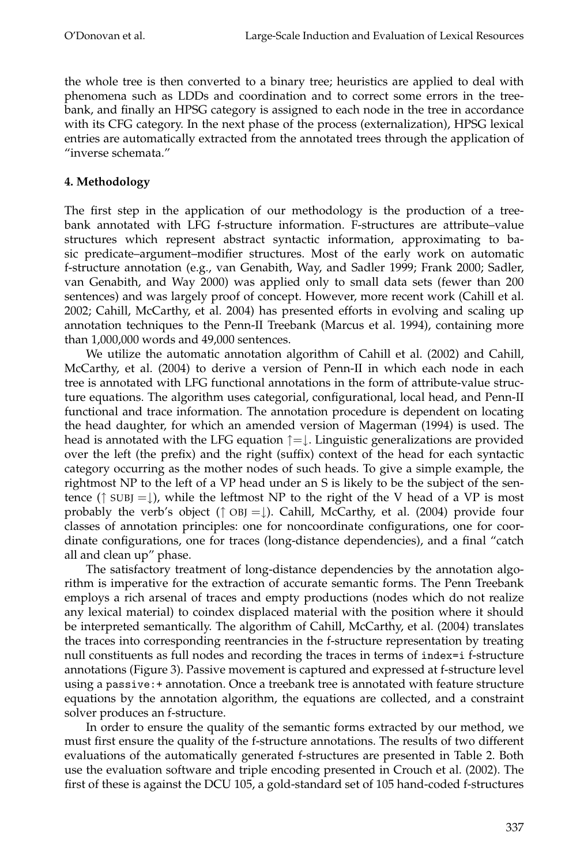the whole tree is then converted to a binary tree; heuristics are applied to deal with phenomena such as LDDs and coordination and to correct some errors in the treebank, and finally an HPSG category is assigned to each node in the tree in accordance with its CFG category. In the next phase of the process (externalization), HPSG lexical entries are automatically extracted from the annotated trees through the application of "inverse schemata."

# **4. Methodology**

The first step in the application of our methodology is the production of a treebank annotated with LFG f-structure information. F-structures are attribute–value structures which represent abstract syntactic information, approximating to basic predicate–argument–modifier structures. Most of the early work on automatic f-structure annotation (e.g., van Genabith, Way, and Sadler 1999; Frank 2000; Sadler, van Genabith, and Way 2000) was applied only to small data sets (fewer than 200 sentences) and was largely proof of concept. However, more recent work (Cahill et al. 2002; Cahill, McCarthy, et al. 2004) has presented efforts in evolving and scaling up annotation techniques to the Penn-II Treebank (Marcus et al. 1994), containing more than 1,000,000 words and 49,000 sentences.

We utilize the automatic annotation algorithm of Cahill et al. (2002) and Cahill, McCarthy, et al. (2004) to derive a version of Penn-II in which each node in each tree is annotated with LFG functional annotations in the form of attribute-value structure equations. The algorithm uses categorial, configurational, local head, and Penn-II functional and trace information. The annotation procedure is dependent on locating the head daughter, for which an amended version of Magerman (1994) is used. The head is annotated with the LFG equation  $\uparrow = \downarrow$ . Linguistic generalizations are provided over the left (the prefix) and the right (suffix) context of the head for each syntactic category occurring as the mother nodes of such heads. To give a simple example, the rightmost NP to the left of a VP head under an S is likely to be the subject of the sentence ( $\uparrow$  SUBJ = $\downarrow$ ), while the leftmost NP to the right of the V head of a VP is most probably the verb's object ( $\uparrow$  OBJ = $\downarrow$ ). Cahill, McCarthy, et al. (2004) provide four classes of annotation principles: one for noncoordinate configurations, one for coordinate configurations, one for traces (long-distance dependencies), and a final "catch all and clean up" phase.

The satisfactory treatment of long-distance dependencies by the annotation algorithm is imperative for the extraction of accurate semantic forms. The Penn Treebank employs a rich arsenal of traces and empty productions (nodes which do not realize any lexical material) to coindex displaced material with the position where it should be interpreted semantically. The algorithm of Cahill, McCarthy, et al. (2004) translates the traces into corresponding reentrancies in the f-structure representation by treating null constituents as full nodes and recording the traces in terms of index=i f-structure annotations (Figure 3). Passive movement is captured and expressed at f-structure level using a passive:+ annotation. Once a treebank tree is annotated with feature structure equations by the annotation algorithm, the equations are collected, and a constraint solver produces an f-structure.

In order to ensure the quality of the semantic forms extracted by our method, we must first ensure the quality of the f-structure annotations. The results of two different evaluations of the automatically generated f-structures are presented in Table 2. Both use the evaluation software and triple encoding presented in Crouch et al. (2002). The first of these is against the DCU 105, a gold-standard set of 105 hand-coded f-structures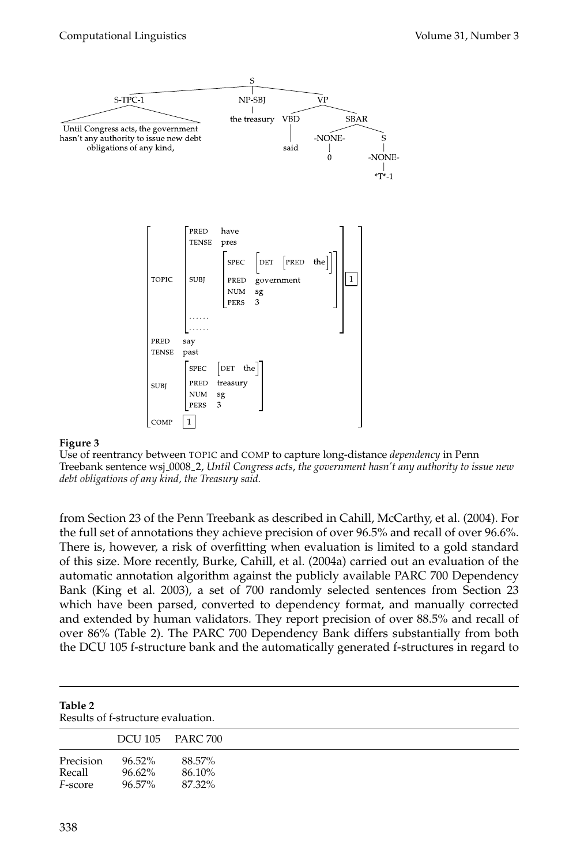

#### **Figure 3**

Use of reentrancy between TOPIC and COMP to capture long-distance *dependency* in Penn Treebank sentence wsj 0008 2, *Until Congress acts*, *the government hasn't any authority to issue new debt obligations of any kind, the Treasury said.*

from Section 23 of the Penn Treebank as described in Cahill, McCarthy, et al. (2004). For the full set of annotations they achieve precision of over 96.5% and recall of over 96.6%. There is, however, a risk of overfitting when evaluation is limited to a gold standard of this size. More recently, Burke, Cahill, et al. (2004a) carried out an evaluation of the automatic annotation algorithm against the publicly available PARC 700 Dependency Bank (King et al. 2003), a set of 700 randomly selected sentences from Section 23 which have been parsed, converted to dependency format, and manually corrected and extended by human validators. They report precision of over 88.5% and recall of over 86% (Table 2). The PARC 700 Dependency Bank differs substantially from both the DCU 105 f-structure bank and the automatically generated f-structures in regard to

| Table 2                        | Results of f-structure evaluation. |                            |
|--------------------------------|------------------------------------|----------------------------|
|                                |                                    | DCU 105 PARC 700           |
| Precision<br>Recall<br>F-score | 96.52%<br>96.62%<br>96.57%         | 88.57%<br>86.10%<br>87.32% |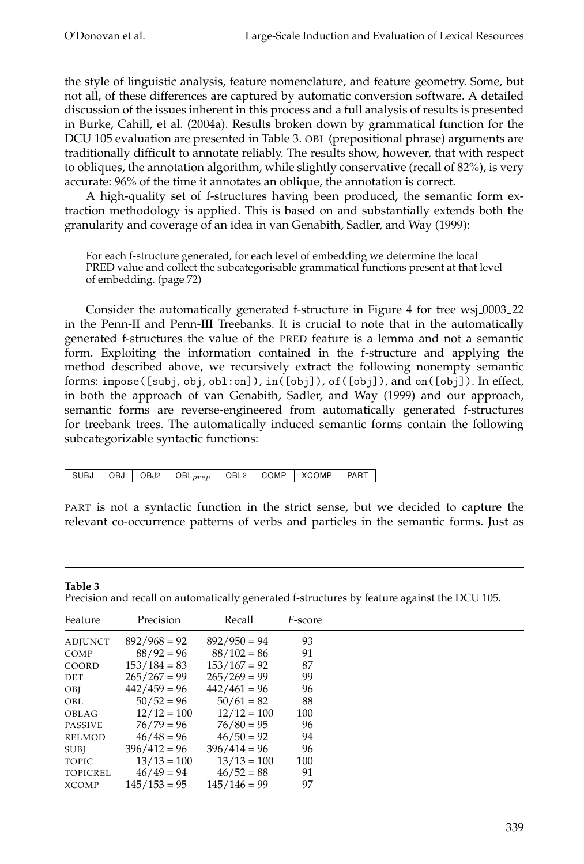the style of linguistic analysis, feature nomenclature, and feature geometry. Some, but not all, of these differences are captured by automatic conversion software. A detailed discussion of the issues inherent in this process and a full analysis of results is presented in Burke, Cahill, et al. (2004a). Results broken down by grammatical function for the DCU 105 evaluation are presented in Table 3. OBL (prepositional phrase) arguments are traditionally difficult to annotate reliably. The results show, however, that with respect to obliques, the annotation algorithm, while slightly conservative (recall of 82%), is very accurate: 96% of the time it annotates an oblique, the annotation is correct.

A high-quality set of f-structures having been produced, the semantic form extraction methodology is applied. This is based on and substantially extends both the granularity and coverage of an idea in van Genabith, Sadler, and Way (1999):

For each f-structure generated, for each level of embedding we determine the local PRED value and collect the subcategorisable grammatical functions present at that level of embedding. (page 72)

Consider the automatically generated f-structure in Figure 4 for tree wsj 0003 22 in the Penn-II and Penn-III Treebanks. It is crucial to note that in the automatically generated f-structures the value of the PRED feature is a lemma and not a semantic form. Exploiting the information contained in the f-structure and applying the method described above, we recursively extract the following nonempty semantic forms: impose([subj, obj, obl:on]), in([obj]), of([obj]), and on([obj]). In effect, in both the approach of van Genabith, Sadler, and Way (1999) and our approach, semantic forms are reverse-engineered from automatically generated f-structures for treebank trees. The automatically induced semantic forms contain the following subcategorizable syntactic functions:

| $\mid$ SUBJ $\mid$ OBJ $\mid$ OBJ2 $\mid$ OBL $_{prep}$ $\mid$ OBL2 $\mid$ COMP $\mid$ XCOMP $\mid$ PART $\mid$ |  |  |  |  |
|-----------------------------------------------------------------------------------------------------------------|--|--|--|--|
|-----------------------------------------------------------------------------------------------------------------|--|--|--|--|

PART is not a syntactic function in the strict sense, but we decided to capture the relevant co-occurrence patterns of verbs and particles in the semantic forms. Just as

|                | Precision and recall on automatically generated f-structures by feature against the DCU 105. |                |                 |  |  |
|----------------|----------------------------------------------------------------------------------------------|----------------|-----------------|--|--|
| Feature        | Precision                                                                                    | Recall         | <i>F</i> -score |  |  |
| <b>ADJUNCT</b> | $892/968 = 92$                                                                               | $892/950 = 94$ | 93              |  |  |
| COMP           | $88/92 = 96$                                                                                 | $88/102 = 86$  | 91              |  |  |
| COORD          | $153/184 = 83$                                                                               | $153/167 = 92$ | 87              |  |  |
| DET            | $265/267=99$                                                                                 | $265/269=99$   | 99              |  |  |
| OBJ            | $442/459=96$                                                                                 | $442/461 = 96$ | 96              |  |  |
| OBL            | $50/52 = 96$                                                                                 | $50/61 = 82$   | 88              |  |  |
| OBLAG          | $12/12 = 100$                                                                                | $12/12 = 100$  | 100             |  |  |
| PASSIVE        | $76/79=96$                                                                                   | $76/80 = 95$   | 96              |  |  |
| RELMOD         | $46/48 = 96$                                                                                 | $46/50 = 92$   | 94              |  |  |
| SUBI           | $396/412 = 96$                                                                               | $396/414 = 96$ | 96              |  |  |
| TOPIC          | $13/13 = 100$                                                                                | $13/13 = 100$  | 100             |  |  |
| TOPICREL       | $46/49 = 94$                                                                                 | $46/52 = 88$   | 91              |  |  |
| XCOMP          | $145/153 = 95$                                                                               | $145/146 = 99$ | 97              |  |  |
|                |                                                                                              |                |                 |  |  |

Precision and recall on automatically generated f-structures by feature against the DCU 105.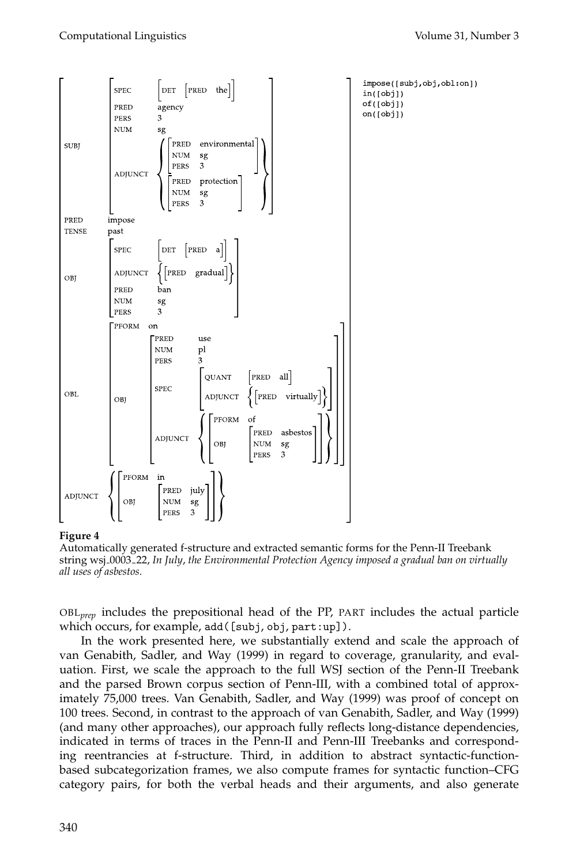

#### **Figure 4**

Automatically generated f-structure and extracted semantic forms for the Penn-II Treebank string wsj 0003 22, *In July*, *the Environmental Protection Agency imposed a gradual ban on virtually all uses of asbestos.*

OBL*prep* includes the prepositional head of the PP, PART includes the actual particle which occurs, for example, add([subj, obj, part:up]).

In the work presented here, we substantially extend and scale the approach of van Genabith, Sadler, and Way (1999) in regard to coverage, granularity, and evaluation. First, we scale the approach to the full WSJ section of the Penn-II Treebank and the parsed Brown corpus section of Penn-III, with a combined total of approximately 75,000 trees. Van Genabith, Sadler, and Way (1999) was proof of concept on 100 trees. Second, in contrast to the approach of van Genabith, Sadler, and Way (1999) (and many other approaches), our approach fully reflects long-distance dependencies, indicated in terms of traces in the Penn-II and Penn-III Treebanks and corresponding reentrancies at f-structure. Third, in addition to abstract syntactic-functionbased subcategorization frames, we also compute frames for syntactic function–CFG category pairs, for both the verbal heads and their arguments, and also generate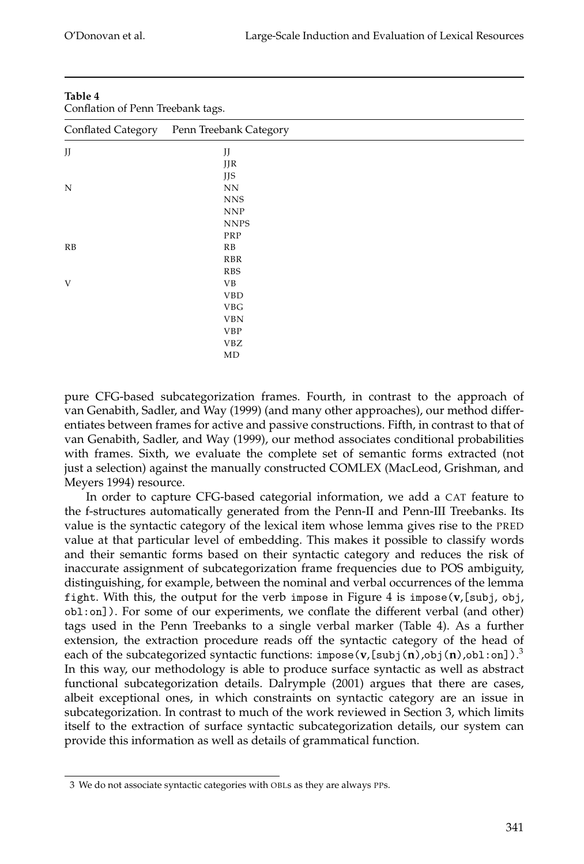| Conflation of Penn Treebank tags. |                                           |  |  |
|-----------------------------------|-------------------------------------------|--|--|
|                                   | Conflated Category Penn Treebank Category |  |  |
| JJ                                | JJ                                        |  |  |
|                                   | JJR                                       |  |  |
|                                   | JJS                                       |  |  |
| N                                 | $\mathrm{NN}$                             |  |  |
|                                   | <b>NNS</b>                                |  |  |
|                                   | NNP                                       |  |  |
|                                   | <b>NNPS</b>                               |  |  |
|                                   | PRP                                       |  |  |
| RB                                | RB                                        |  |  |
|                                   | RBR                                       |  |  |
|                                   | <b>RBS</b>                                |  |  |
| V                                 | VB                                        |  |  |
|                                   | <b>VBD</b>                                |  |  |
|                                   | <b>VBG</b>                                |  |  |
|                                   | <b>VBN</b>                                |  |  |
|                                   | <b>VBP</b>                                |  |  |
|                                   | VBZ                                       |  |  |
|                                   | MD                                        |  |  |

#### **Table 4** Conflation of Penn Treebank tags.

pure CFG-based subcategorization frames. Fourth, in contrast to the approach of van Genabith, Sadler, and Way (1999) (and many other approaches), our method differentiates between frames for active and passive constructions. Fifth, in contrast to that of van Genabith, Sadler, and Way (1999), our method associates conditional probabilities with frames. Sixth, we evaluate the complete set of semantic forms extracted (not just a selection) against the manually constructed COMLEX (MacLeod, Grishman, and Meyers 1994) resource.

In order to capture CFG-based categorial information, we add a CAT feature to the f-structures automatically generated from the Penn-II and Penn-III Treebanks. Its value is the syntactic category of the lexical item whose lemma gives rise to the PRED value at that particular level of embedding. This makes it possible to classify words and their semantic forms based on their syntactic category and reduces the risk of inaccurate assignment of subcategorization frame frequencies due to POS ambiguity, distinguishing, for example, between the nominal and verbal occurrences of the lemma fight. With this, the output for the verb impose in Figure 4 is impose(**v**,[subj, obj, obl:on]). For some of our experiments, we conflate the different verbal (and other) tags used in the Penn Treebanks to a single verbal marker (Table 4). As a further extension, the extraction procedure reads off the syntactic category of the head of each of the subcategorized syntactic functions: impose(**v**,[subj(**n**),obj(**n**),obl:on]). 3 In this way, our methodology is able to produce surface syntactic as well as abstract functional subcategorization details. Dalrymple (2001) argues that there are cases, albeit exceptional ones, in which constraints on syntactic category are an issue in subcategorization. In contrast to much of the work reviewed in Section 3, which limits itself to the extraction of surface syntactic subcategorization details, our system can provide this information as well as details of grammatical function.

<sup>3</sup> We do not associate syntactic categories with OBLs as they are always PPs.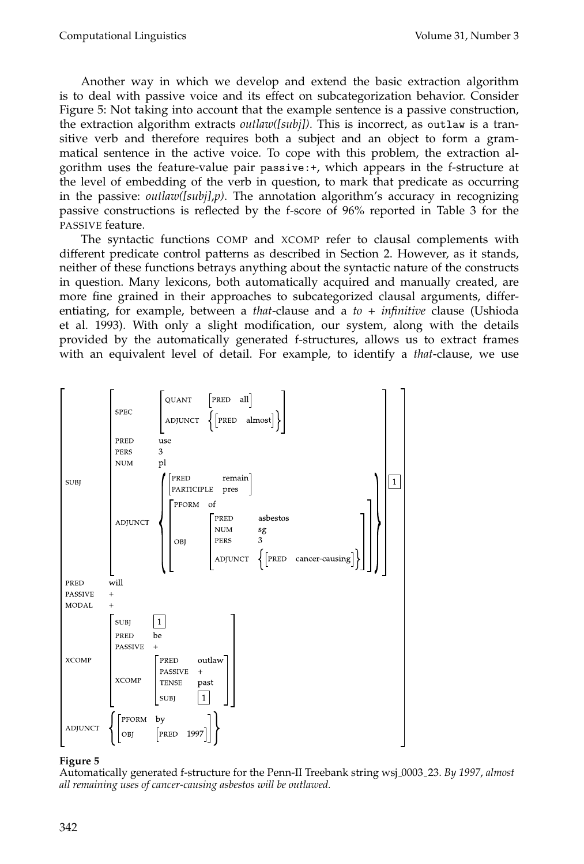Another way in which we develop and extend the basic extraction algorithm is to deal with passive voice and its effect on subcategorization behavior. Consider Figure 5: Not taking into account that the example sentence is a passive construction, the extraction algorithm extracts *outlaw([subj])*. This is incorrect, as outlaw is a transitive verb and therefore requires both a subject and an object to form a grammatical sentence in the active voice. To cope with this problem, the extraction algorithm uses the feature-value pair passive:+, which appears in the f-structure at the level of embedding of the verb in question, to mark that predicate as occurring in the passive: *outlaw([subj]*,*p)*. The annotation algorithm's accuracy in recognizing passive constructions is reflected by the f-score of 96% reported in Table 3 for the PASSIVE feature.

The syntactic functions COMP and XCOMP refer to clausal complements with different predicate control patterns as described in Section 2. However, as it stands, neither of these functions betrays anything about the syntactic nature of the constructs in question. Many lexicons, both automatically acquired and manually created, are more fine grained in their approaches to subcategorized clausal arguments, differentiating, for example, between a *that*-clause and a *to* + *infinitive* clause (Ushioda et al. 1993). With only a slight modification, our system, along with the details provided by the automatically generated f-structures, allows us to extract frames with an equivalent level of detail. For example, to identify a *that*-clause, we use



# **Figure 5**

Automatically generated f-structure for the Penn-II Treebank string wsj 0003 23. *By 1997*, *almost all remaining uses of cancer-causing asbestos will be outlawed.*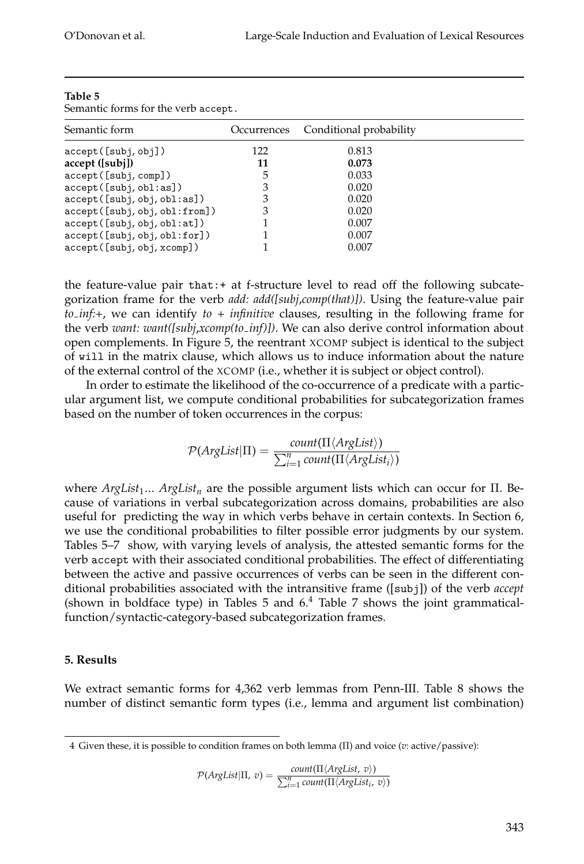| Semanue forms for the verb accept. |     |                                     |  |  |
|------------------------------------|-----|-------------------------------------|--|--|
| Semantic form                      |     | Occurrences Conditional probability |  |  |
| accept([subj, obj])                | 122 | 0.813                               |  |  |
| accept([subj])                     | 11  | 0.073                               |  |  |
| accept([subj, comp])               | 5   | 0.033                               |  |  |
| accept([subj, obl:as])             |     | 0.020                               |  |  |
| accept([subj, obj, obl:as])        |     | 0.020                               |  |  |
| accept([subj, obj, obl:from])      |     | 0.020                               |  |  |
| accept([subj, obj, obl:at])        |     | 0.007                               |  |  |
| accept([subj, obj, obl:for])       |     | 0.007                               |  |  |
| accept([subj, obj, xcomp])         |     | 0.007                               |  |  |

Semantic forms for the verb accept.

the feature-value pair that:+ at f-structure level to read off the following subcategorization frame for the verb *add: add([subj*,*comp(that)])*. Using the feature-value pair *to inf:+*, we can identify *to* + *infinitive* clauses, resulting in the following frame for the verb *want: want([subj*,*xcomp(to inf)])*. We can also derive control information about open complements. In Figure 5, the reentrant XCOMP subject is identical to the subject of will in the matrix clause, which allows us to induce information about the nature of the external control of the XCOMP (i.e., whether it is subject or object control).

In order to estimate the likelihood of the co-occurrence of a predicate with a particular argument list, we compute conditional probabilities for subcategorization frames based on the number of token occurrences in the corpus:

$$
\mathcal{P}(ArgList|\Pi) = \frac{count(\Pi \langle ArgList \rangle)}{\sum_{i=1}^{n} count(\Pi \langle ArgList_i \rangle)}
$$

where *ArgList*<sub>1</sub>... *ArgList<sub>n</sub>* are the possible argument lists which can occur for Π. Because of variations in verbal subcategorization across domains, probabilities are also useful for predicting the way in which verbs behave in certain contexts. In Section 6, we use the conditional probabilities to filter possible error judgments by our system. Tables 5–7 show, with varying levels of analysis, the attested semantic forms for the verb accept with their associated conditional probabilities. The effect of differentiating between the active and passive occurrences of verbs can be seen in the different conditional probabilities associated with the intransitive frame ([subj]) of the verb *accept* (shown in boldface type) in Tables 5 and  $6<sup>4</sup>$  Table 7 shows the joint grammaticalfunction/syntactic-category-based subcategorization frames.

#### **5. Results**

We extract semantic forms for 4,362 verb lemmas from Penn-III. Table 8 shows the number of distinct semantic form types (i.e., lemma and argument list combination)

4 Given these, it is possible to condition frames on both lemma (Π) and voice (*v*: active/passive):

 $\mathcal{P}(ArgList|\Pi, v) = \frac{count(\Pi \langle ArgList, v \rangle)}{\sum_{i=1}^{n} count(\Pi \langle ArgList_i, v \rangle)}$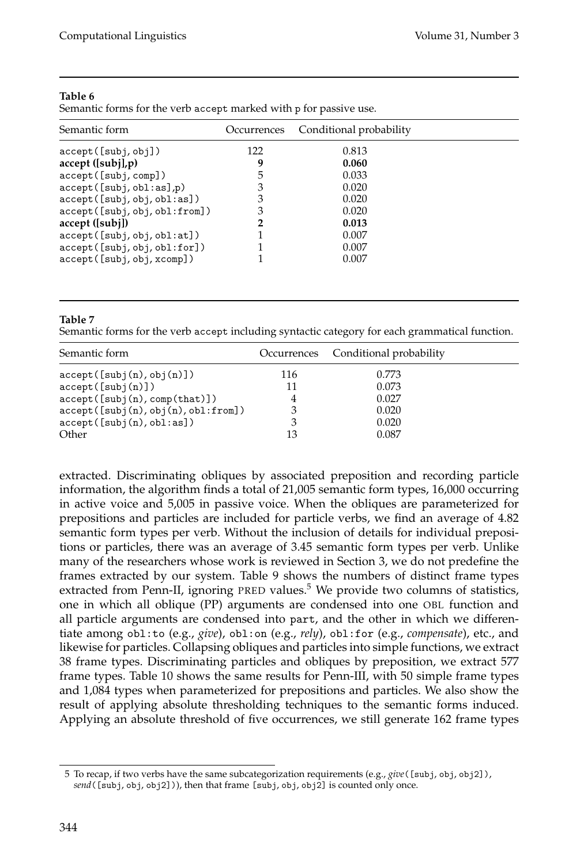| Semantic form                 |     | Occurrences Conditional probability |  |
|-------------------------------|-----|-------------------------------------|--|
| accept([subj, obj])           | 122 | 0.813                               |  |
| accept ([subj],p)             | 9   | 0.060                               |  |
| accept([subj, comp])          | 5   | 0.033                               |  |
| accept([subj, obl:as], p)     |     | 0.020                               |  |
| accept([subj, obj, obl:as])   | 3   | 0.020                               |  |
| accept([subj, obj, obl:from]) | 3   | 0.020                               |  |
| accept([subj])                |     | 0.013                               |  |
| accept([subj, obj, obl:at])   |     | 0.007                               |  |
| accept([subj, obj, obl:for])  |     | 0.007                               |  |
| accept([subj, obj, xcomp])    |     | 0.007                               |  |

Semantic forms for the verb accept marked with p for passive use.

## **Table 7**

Semantic forms for the verb accept including syntactic category for each grammatical function.

| Semantic form                       |     | Occurrences Conditional probability |  |
|-------------------------------------|-----|-------------------------------------|--|
| accept([subj(n), obj(n)])           | 116 | 0.773                               |  |
| accept([subi(n)])                   | 11  | 0.073                               |  |
| accept([subi(n), comp(that))        |     | 0.027                               |  |
| accept([subj(n), obj(n), obl:from]) |     | 0.020                               |  |
| accept([subj(n), obl:as])           | З   | 0.020                               |  |
| Other                               | 13  | 0.087                               |  |

extracted. Discriminating obliques by associated preposition and recording particle information, the algorithm finds a total of 21,005 semantic form types, 16,000 occurring in active voice and 5,005 in passive voice. When the obliques are parameterized for prepositions and particles are included for particle verbs, we find an average of 4.82 semantic form types per verb. Without the inclusion of details for individual prepositions or particles, there was an average of 3.45 semantic form types per verb. Unlike many of the researchers whose work is reviewed in Section 3, we do not predefine the frames extracted by our system. Table 9 shows the numbers of distinct frame types extracted from Penn-II, ignoring PRED values.<sup>5</sup> We provide two columns of statistics, one in which all oblique (PP) arguments are condensed into one OBL function and all particle arguments are condensed into part, and the other in which we differentiate among obl:to (e.g., *give*), obl:on (e.g., *rely*), obl:for (e.g., *compensate*), etc., and likewise for particles. Collapsing obliques and particles into simple functions, we extract 38 frame types. Discriminating particles and obliques by preposition, we extract 577 frame types. Table 10 shows the same results for Penn-III, with 50 simple frame types and 1,084 types when parameterized for prepositions and particles. We also show the result of applying absolute thresholding techniques to the semantic forms induced. Applying an absolute threshold of five occurrences, we still generate 162 frame types

<sup>5</sup> To recap, if two verbs have the same subcategorization requirements (e.g., *give*([subj, obj, obj2]), *send*([subj, obj, obj2])), then that frame [subj, obj, obj2] is counted only once.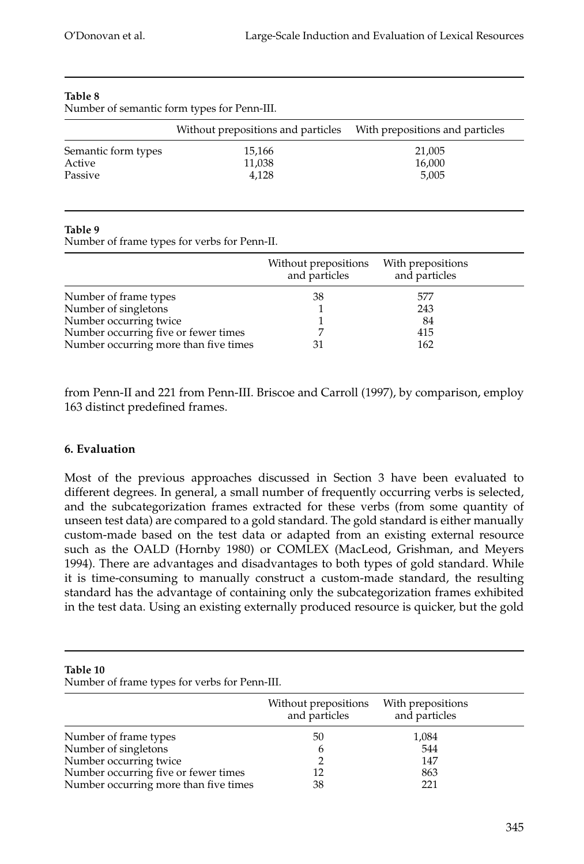Number of semantic form types for Penn-III.

|                     | Without prepositions and particles With prepositions and particles |        |
|---------------------|--------------------------------------------------------------------|--------|
| Semantic form types | 15,166                                                             | 21,005 |
| Active              | 11,038                                                             | 16,000 |
| Passive             | 4.128                                                              | 5.005  |

## **Table 9**

Number of frame types for verbs for Penn-II.

|                                       | Without prepositions<br>and particles | With prepositions<br>and particles |  |
|---------------------------------------|---------------------------------------|------------------------------------|--|
| Number of frame types                 | 38                                    | 577                                |  |
| Number of singletons                  |                                       | 243                                |  |
| Number occurring twice                |                                       | 84                                 |  |
| Number occurring five or fewer times  |                                       | 415                                |  |
| Number occurring more than five times | 31                                    | 162                                |  |

from Penn-II and 221 from Penn-III. Briscoe and Carroll (1997), by comparison, employ 163 distinct predefined frames.

# **6. Evaluation**

Most of the previous approaches discussed in Section 3 have been evaluated to different degrees. In general, a small number of frequently occurring verbs is selected, and the subcategorization frames extracted for these verbs (from some quantity of unseen test data) are compared to a gold standard. The gold standard is either manually custom-made based on the test data or adapted from an existing external resource such as the OALD (Hornby 1980) or COMLEX (MacLeod, Grishman, and Meyers 1994). There are advantages and disadvantages to both types of gold standard. While it is time-consuming to manually construct a custom-made standard, the resulting standard has the advantage of containing only the subcategorization frames exhibited in the test data. Using an existing externally produced resource is quicker, but the gold

#### **Table 10**

Number of frame types for verbs for Penn-III.

|                                       | Without prepositions<br>and particles | With prepositions<br>and particles |  |
|---------------------------------------|---------------------------------------|------------------------------------|--|
| Number of frame types                 | 50                                    | 1,084                              |  |
| Number of singletons                  | h                                     | 544                                |  |
| Number occurring twice                |                                       | 147                                |  |
| Number occurring five or fewer times  | 12                                    | 863                                |  |
| Number occurring more than five times | 38                                    | 221                                |  |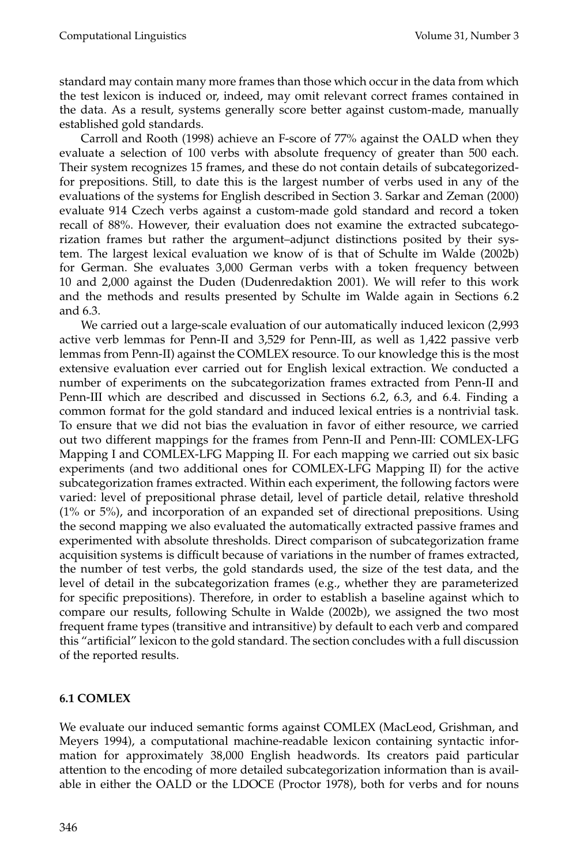standard may contain many more frames than those which occur in the data from which the test lexicon is induced or, indeed, may omit relevant correct frames contained in the data. As a result, systems generally score better against custom-made, manually established gold standards.

Carroll and Rooth (1998) achieve an F-score of 77% against the OALD when they evaluate a selection of 100 verbs with absolute frequency of greater than 500 each. Their system recognizes 15 frames, and these do not contain details of subcategorizedfor prepositions. Still, to date this is the largest number of verbs used in any of the evaluations of the systems for English described in Section 3. Sarkar and Zeman (2000) evaluate 914 Czech verbs against a custom-made gold standard and record a token recall of 88%. However, their evaluation does not examine the extracted subcategorization frames but rather the argument–adjunct distinctions posited by their system. The largest lexical evaluation we know of is that of Schulte im Walde (2002b) for German. She evaluates 3,000 German verbs with a token frequency between 10 and 2,000 against the Duden (Dudenredaktion 2001). We will refer to this work and the methods and results presented by Schulte im Walde again in Sections 6.2 and 6.3.

We carried out a large-scale evaluation of our automatically induced lexicon (2,993 active verb lemmas for Penn-II and 3,529 for Penn-III, as well as 1,422 passive verb lemmas from Penn-II) against the COMLEX resource. To our knowledge this is the most extensive evaluation ever carried out for English lexical extraction. We conducted a number of experiments on the subcategorization frames extracted from Penn-II and Penn-III which are described and discussed in Sections 6.2, 6.3, and 6.4. Finding a common format for the gold standard and induced lexical entries is a nontrivial task. To ensure that we did not bias the evaluation in favor of either resource, we carried out two different mappings for the frames from Penn-II and Penn-III: COMLEX-LFG Mapping I and COMLEX-LFG Mapping II. For each mapping we carried out six basic experiments (and two additional ones for COMLEX-LFG Mapping II) for the active subcategorization frames extracted. Within each experiment, the following factors were varied: level of prepositional phrase detail, level of particle detail, relative threshold (1% or 5%), and incorporation of an expanded set of directional prepositions. Using the second mapping we also evaluated the automatically extracted passive frames and experimented with absolute thresholds. Direct comparison of subcategorization frame acquisition systems is difficult because of variations in the number of frames extracted, the number of test verbs, the gold standards used, the size of the test data, and the level of detail in the subcategorization frames (e.g., whether they are parameterized for specific prepositions). Therefore, in order to establish a baseline against which to compare our results, following Schulte in Walde (2002b), we assigned the two most frequent frame types (transitive and intransitive) by default to each verb and compared this "artificial" lexicon to the gold standard. The section concludes with a full discussion of the reported results.

# **6.1 COMLEX**

We evaluate our induced semantic forms against COMLEX (MacLeod, Grishman, and Meyers 1994), a computational machine-readable lexicon containing syntactic information for approximately 38,000 English headwords. Its creators paid particular attention to the encoding of more detailed subcategorization information than is available in either the OALD or the LDOCE (Proctor 1978), both for verbs and for nouns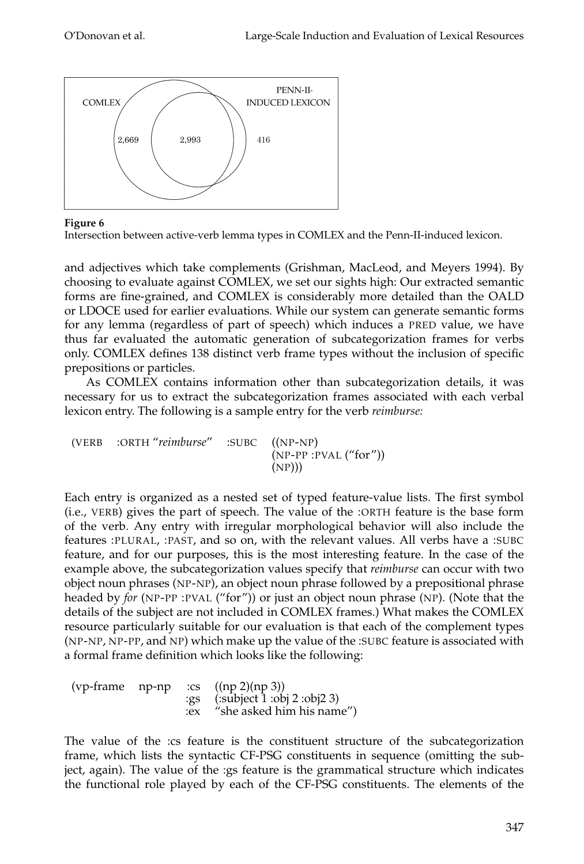

## **Figure 6**

Intersection between active-verb lemma types in COMLEX and the Penn-II-induced lexicon.

and adjectives which take complements (Grishman, MacLeod, and Meyers 1994). By choosing to evaluate against COMLEX, we set our sights high: Our extracted semantic forms are fine-grained, and COMLEX is considerably more detailed than the OALD or LDOCE used for earlier evaluations. While our system can generate semantic forms for any lemma (regardless of part of speech) which induces a PRED value, we have thus far evaluated the automatic generation of subcategorization frames for verbs only. COMLEX defines 138 distinct verb frame types without the inclusion of specific prepositions or particles.

As COMLEX contains information other than subcategorization details, it was necessary for us to extract the subcategorization frames associated with each verbal lexicon entry. The following is a sample entry for the verb *reimburse:*

(VERB :ORTH "*reimburse*" :SUBC ((NP-NP) (NP-PP :PVAL ("for")) (NP)))

Each entry is organized as a nested set of typed feature-value lists. The first symbol (i.e., VERB) gives the part of speech. The value of the :ORTH feature is the base form of the verb. Any entry with irregular morphological behavior will also include the features :PLURAL, :PAST, and so on, with the relevant values. All verbs have a :SUBC feature, and for our purposes, this is the most interesting feature. In the case of the example above, the subcategorization values specify that *reimburse* can occur with two object noun phrases (NP-NP), an object noun phrase followed by a prepositional phrase headed by *for* (NP-PP :PVAL ("for")) or just an object noun phrase (NP). (Note that the details of the subject are not included in COMLEX frames.) What makes the COMLEX resource particularly suitable for our evaluation is that each of the complement types (NP-NP, NP-PP, and NP) which make up the value of the :SUBC feature is associated with a formal frame definition which looks like the following:

|  | $(vp-frame$ np-np :cs $((np 2)(np 3))$<br>:gs $(:subject 1:obj 2:obj 2:3)$<br>ex "she asked him his name") |
|--|------------------------------------------------------------------------------------------------------------|
|  |                                                                                                            |

The value of the :cs feature is the constituent structure of the subcategorization frame, which lists the syntactic CF-PSG constituents in sequence (omitting the subject, again). The value of the :gs feature is the grammatical structure which indicates the functional role played by each of the CF-PSG constituents. The elements of the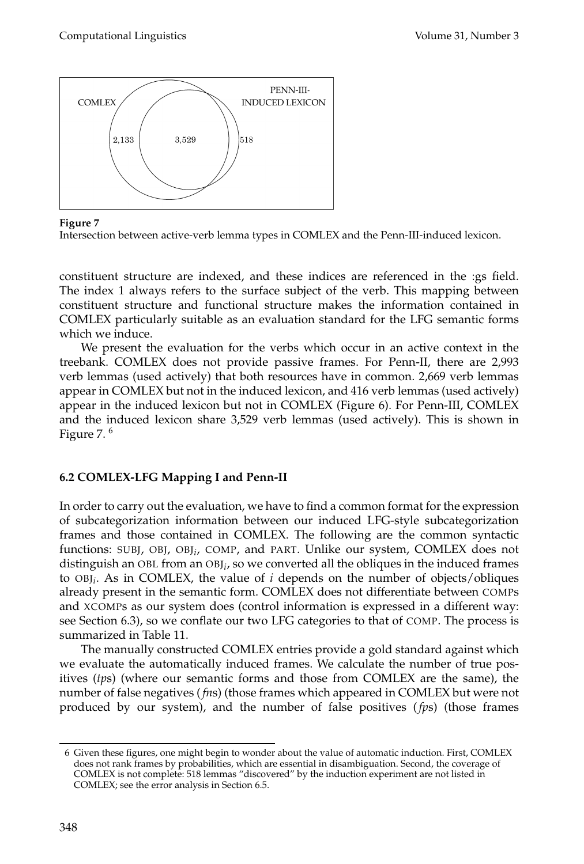

#### **Figure 7**

Intersection between active-verb lemma types in COMLEX and the Penn-III-induced lexicon.

constituent structure are indexed, and these indices are referenced in the :gs field. The index 1 always refers to the surface subject of the verb. This mapping between constituent structure and functional structure makes the information contained in COMLEX particularly suitable as an evaluation standard for the LFG semantic forms which we induce.

We present the evaluation for the verbs which occur in an active context in the treebank. COMLEX does not provide passive frames. For Penn-II, there are 2,993 verb lemmas (used actively) that both resources have in common. 2,669 verb lemmas appear in COMLEX but not in the induced lexicon, and 416 verb lemmas (used actively) appear in the induced lexicon but not in COMLEX (Figure 6). For Penn-III, COMLEX and the induced lexicon share 3,529 verb lemmas (used actively). This is shown in Figure 7. <sup>6</sup>

## **6.2 COMLEX-LFG Mapping I and Penn-II**

In order to carry out the evaluation, we have to find a common format for the expression of subcategorization information between our induced LFG-style subcategorization frames and those contained in COMLEX. The following are the common syntactic functions: SUBJ, OBJ, OBJ*i*, COMP, and PART. Unlike our system, COMLEX does not distinguish an OBL from an OBJ*i*, so we converted all the obliques in the induced frames to OBJ*i*. As in COMLEX, the value of *i* depends on the number of objects/obliques already present in the semantic form. COMLEX does not differentiate between COMPs and XCOMPs as our system does (control information is expressed in a different way: see Section 6.3), so we conflate our two LFG categories to that of COMP. The process is summarized in Table 11.

The manually constructed COMLEX entries provide a gold standard against which we evaluate the automatically induced frames. We calculate the number of true positives (*tp*s) (where our semantic forms and those from COMLEX are the same), the number of false negatives (*fn*s) (those frames which appeared in COMLEX but were not produced by our system), and the number of false positives (*fp*s) (those frames

<sup>6</sup> Given these figures, one might begin to wonder about the value of automatic induction. First, COMLEX does not rank frames by probabilities, which are essential in disambiguation. Second, the coverage of COMLEX is not complete: 518 lemmas "discovered" by the induction experiment are not listed in COMLEX; see the error analysis in Section 6.5.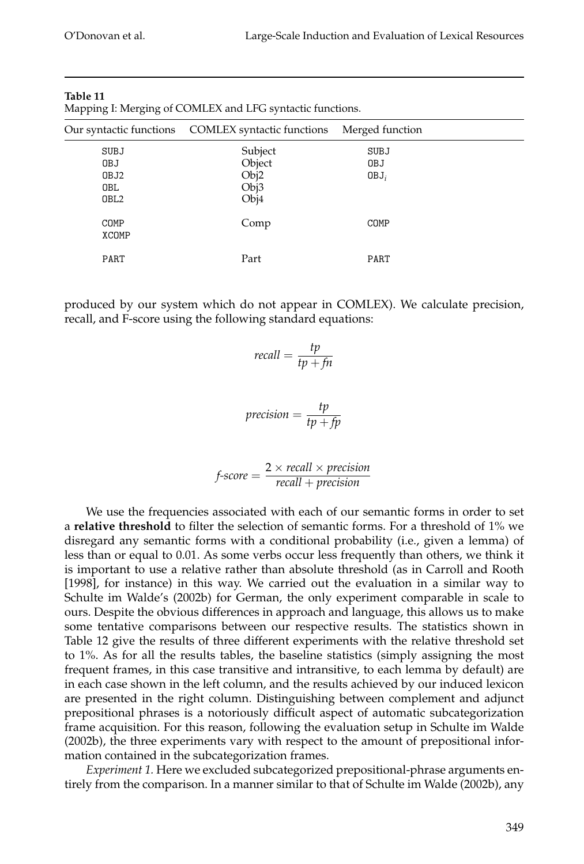|                                                       | Our syntactic functions COMLEX syntactic functions Merged function |                               |  |
|-------------------------------------------------------|--------------------------------------------------------------------|-------------------------------|--|
| <b>SUBJ</b><br>0BJ<br>OBJ2<br>0BL<br>OBL <sub>2</sub> | Subject<br>Object<br>Obj2<br>Obj3<br>Obj4                          | <b>SUBJ</b><br>0BJ<br>$OBJ_i$ |  |
| COMP<br><b>XCOMP</b>                                  | Comp                                                               | COMP                          |  |
| PART                                                  | Part                                                               | PART                          |  |

| Table 11                                                  |  |
|-----------------------------------------------------------|--|
| Mapping I: Merging of COMLEX and LFG syntactic functions. |  |

produced by our system which do not appear in COMLEX). We calculate precision, recall, and F-score using the following standard equations:

$$
recall = \frac{tp}{tp + fn}
$$

$$
precision = \frac{tp}{tp + fp}
$$

$$
f\text{-score} = \frac{2 \times recall \times precision}{recall + precision}
$$

We use the frequencies associated with each of our semantic forms in order to set a **relative threshold** to filter the selection of semantic forms. For a threshold of 1% we disregard any semantic forms with a conditional probability (i.e., given a lemma) of less than or equal to 0.01. As some verbs occur less frequently than others, we think it is important to use a relative rather than absolute threshold (as in Carroll and Rooth [1998], for instance) in this way. We carried out the evaluation in a similar way to Schulte im Walde's (2002b) for German, the only experiment comparable in scale to ours. Despite the obvious differences in approach and language, this allows us to make some tentative comparisons between our respective results. The statistics shown in Table 12 give the results of three different experiments with the relative threshold set to 1%. As for all the results tables, the baseline statistics (simply assigning the most frequent frames, in this case transitive and intransitive, to each lemma by default) are in each case shown in the left column, and the results achieved by our induced lexicon are presented in the right column. Distinguishing between complement and adjunct prepositional phrases is a notoriously difficult aspect of automatic subcategorization frame acquisition. For this reason, following the evaluation setup in Schulte im Walde (2002b), the three experiments vary with respect to the amount of prepositional information contained in the subcategorization frames.

*Experiment 1.* Here we excluded subcategorized prepositional-phrase arguments entirely from the comparison. In a manner similar to that of Schulte im Walde (2002b), any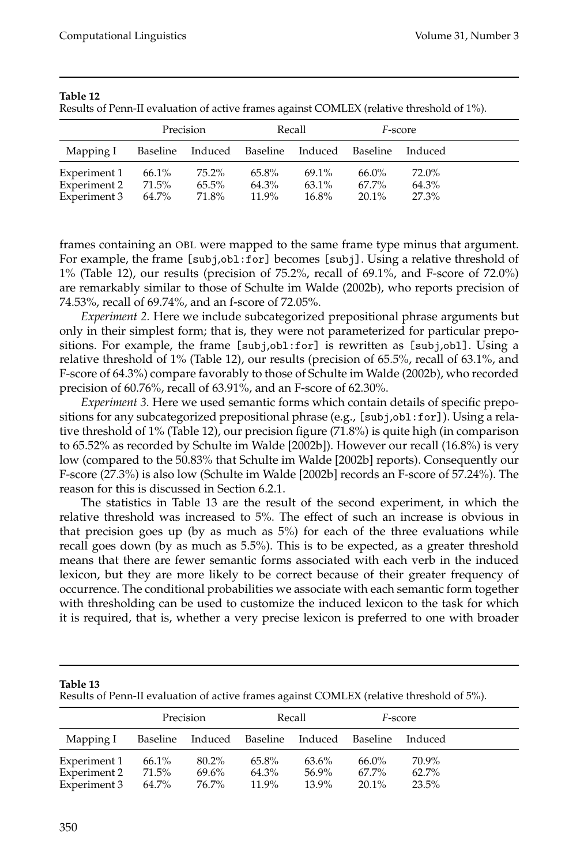|                                              |                         | Precision                                  |                         | Recall                        |                         | <i>F</i> -score         |
|----------------------------------------------|-------------------------|--------------------------------------------|-------------------------|-------------------------------|-------------------------|-------------------------|
| Mapping I                                    |                         | Baseline Induced Baseline Induced Baseline |                         |                               |                         | Induced                 |
| Experiment 1<br>Experiment 2<br>Experiment 3 | 66.1%<br>71.5%<br>64.7% | 75.2%<br>65.5%<br>71.8%                    | 65.8%<br>64.3%<br>11.9% | $69.1\%$<br>63.1%<br>$16.8\%$ | 66.0%<br>67.7%<br>20.1% | 72.0%<br>64.3%<br>27.3% |

Results of Penn-II evaluation of active frames against COMLEX (relative threshold of 1%).

frames containing an OBL were mapped to the same frame type minus that argument. For example, the frame [subj,obl:for] becomes [subj]. Using a relative threshold of 1% (Table 12), our results (precision of 75.2%, recall of 69.1%, and F-score of 72.0%) are remarkably similar to those of Schulte im Walde (2002b), who reports precision of 74.53%, recall of 69.74%, and an f-score of 72.05%.

*Experiment 2.* Here we include subcategorized prepositional phrase arguments but only in their simplest form; that is, they were not parameterized for particular prepositions. For example, the frame [subj,obl:for] is rewritten as [subj,obl]. Using a relative threshold of 1% (Table 12), our results (precision of 65.5%, recall of 63.1%, and F-score of 64.3%) compare favorably to those of Schulte im Walde (2002b), who recorded precision of 60.76%, recall of 63.91%, and an F-score of 62.30%.

*Experiment 3.* Here we used semantic forms which contain details of specific prepositions for any subcategorized prepositional phrase (e.g., [subj,obl:for]). Using a relative threshold of 1% (Table 12), our precision figure (71.8%) is quite high (in comparison to 65.52% as recorded by Schulte im Walde [2002b]). However our recall (16.8%) is very low (compared to the 50.83% that Schulte im Walde [2002b] reports). Consequently our F-score (27.3%) is also low (Schulte im Walde [2002b] records an F-score of 57.24%). The reason for this is discussed in Section 6.2.1.

The statistics in Table 13 are the result of the second experiment, in which the relative threshold was increased to 5%. The effect of such an increase is obvious in that precision goes up (by as much as 5%) for each of the three evaluations while recall goes down (by as much as 5.5%). This is to be expected, as a greater threshold means that there are fewer semantic forms associated with each verb in the induced lexicon, but they are more likely to be correct because of their greater frequency of occurrence. The conditional probabilities we associate with each semantic form together with thresholding can be used to customize the induced lexicon to the task for which it is required, that is, whether a very precise lexicon is preferred to one with broader

#### **Table 13**

| Results of Penn-II evaluation of active frames against COMLEX (relative threshold of 5%). |  |  |
|-------------------------------------------------------------------------------------------|--|--|
|                                                                                           |  |  |

|                              |                | Precision                                  |                | Recall         |                | <i>F</i> -score   |
|------------------------------|----------------|--------------------------------------------|----------------|----------------|----------------|-------------------|
| Mapping I                    |                | Baseline Induced Baseline Induced Baseline |                |                |                | Induced           |
| Experiment 1<br>Experiment 2 | 66.1%<br>71.5% | 80.2%<br>69.6%                             | 65.8%<br>64.3% | 63.6%<br>56.9% | 66.0%<br>67.7% | 70.9%<br>$62.7\%$ |
| Experiment 3                 | 64.7%          | 76.7%                                      | $11.9\%$       | $13.9\%$       | 20.1%          | $23.5\%$          |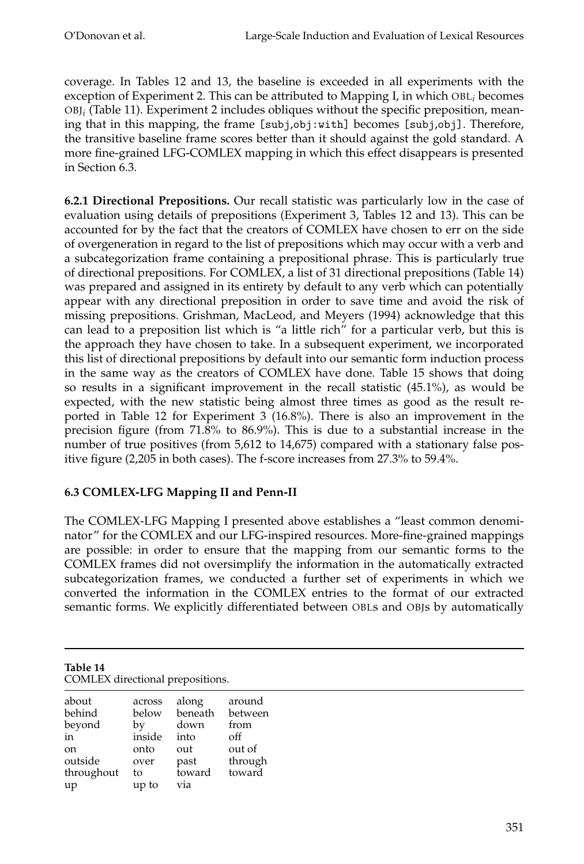coverage. In Tables 12 and 13, the baseline is exceeded in all experiments with the exception of Experiment 2. This can be attributed to Mapping I, in which OBL*<sup>i</sup>* becomes OBJ*<sup>i</sup>* (Table 11). Experiment 2 includes obliques without the specific preposition, meaning that in this mapping, the frame [subj,obj:with] becomes [subj,obj]. Therefore, the transitive baseline frame scores better than it should against the gold standard. A more fine-grained LFG-COMLEX mapping in which this effect disappears is presented in Section 6.3.

**6.2.1 Directional Prepositions.** Our recall statistic was particularly low in the case of evaluation using details of prepositions (Experiment 3, Tables 12 and 13). This can be accounted for by the fact that the creators of COMLEX have chosen to err on the side of overgeneration in regard to the list of prepositions which may occur with a verb and a subcategorization frame containing a prepositional phrase. This is particularly true of directional prepositions. For COMLEX, a list of 31 directional prepositions (Table 14) was prepared and assigned in its entirety by default to any verb which can potentially appear with any directional preposition in order to save time and avoid the risk of missing prepositions. Grishman, MacLeod, and Meyers (1994) acknowledge that this can lead to a preposition list which is "a little rich" for a particular verb, but this is the approach they have chosen to take. In a subsequent experiment, we incorporated this list of directional prepositions by default into our semantic form induction process in the same way as the creators of COMLEX have done. Table 15 shows that doing so results in a significant improvement in the recall statistic (45.1%), as would be expected, with the new statistic being almost three times as good as the result reported in Table 12 for Experiment 3 (16.8%). There is also an improvement in the precision figure (from 71.8% to 86.9%). This is due to a substantial increase in the number of true positives (from 5,612 to 14,675) compared with a stationary false positive figure (2,205 in both cases). The f-score increases from 27.3% to 59.4%.

# **6.3 COMLEX-LFG Mapping II and Penn-II**

The COMLEX-LFG Mapping I presented above establishes a "least common denominator" for the COMLEX and our LFG-inspired resources. More-fine-grained mappings are possible: in order to ensure that the mapping from our semantic forms to the COMLEX frames did not oversimplify the information in the automatically extracted subcategorization frames, we conducted a further set of experiments in which we converted the information in the COMLEX entries to the format of our extracted semantic forms. We explicitly differentiated between OBLs and OBJs by automatically

**Table 14** COMLEX directional prepositions.

| about<br>behind | across<br>below | along<br>beneath | around<br>between |
|-----------------|-----------------|------------------|-------------------|
| beyond          | bv              | down             | from              |
| in              | inside          | into             | off               |
| on              | onto            | out              | out of            |
| outside         | over            | past             | through           |
| throughout      | to              | toward           | toward            |
| up              | up to           | via              |                   |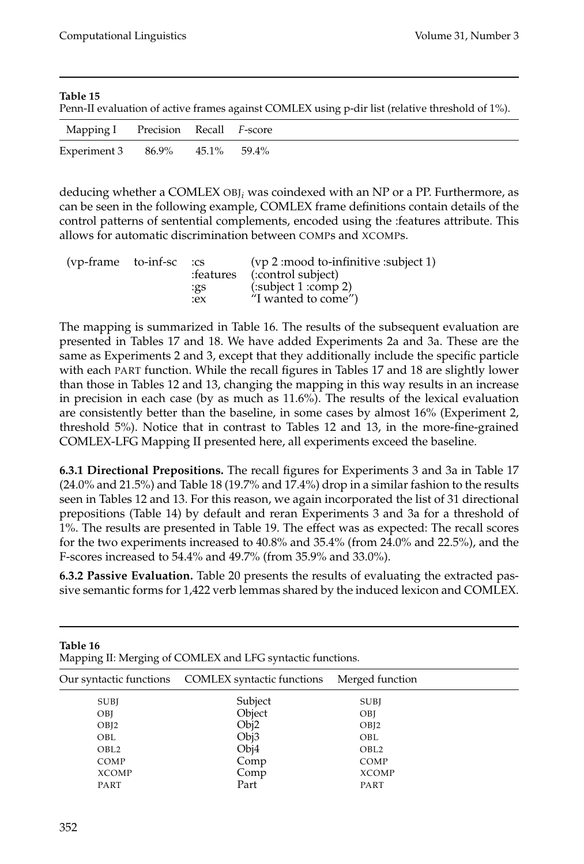Penn-II evaluation of active frames against COMLEX using p-dir list (relative threshold of 1%).

| Mapping I Precision Recall F-score |  |  |
|------------------------------------|--|--|
| Experiment 3 86.9% 45.1% 59.4%     |  |  |

deducing whether a COMLEX OBJ*<sup>i</sup>* was coindexed with an NP or a PP. Furthermore, as can be seen in the following example, COMLEX frame definitions contain details of the control patterns of sentential complements, encoded using the :features attribute. This allows for automatic discrimination between COMPs and XCOMPs.

| $(vp-frame$ to-inf-sc :cs | :features<br>:gs<br>:ex | $(vp 2 \mod to$ -infinitive :subject 1)<br>(:control subject)<br>(:subject 1:comp 2)<br>"I wanted to come") |
|---------------------------|-------------------------|-------------------------------------------------------------------------------------------------------------|
|                           |                         |                                                                                                             |

The mapping is summarized in Table 16. The results of the subsequent evaluation are presented in Tables 17 and 18. We have added Experiments 2a and 3a. These are the same as Experiments 2 and 3, except that they additionally include the specific particle with each PART function. While the recall figures in Tables 17 and 18 are slightly lower than those in Tables 12 and 13, changing the mapping in this way results in an increase in precision in each case (by as much as 11.6%). The results of the lexical evaluation are consistently better than the baseline, in some cases by almost 16% (Experiment 2, threshold 5%). Notice that in contrast to Tables 12 and 13, in the more-fine-grained COMLEX-LFG Mapping II presented here, all experiments exceed the baseline.

**6.3.1 Directional Prepositions.** The recall figures for Experiments 3 and 3a in Table 17 (24.0% and 21.5%) and Table 18 (19.7% and 17.4%) drop in a similar fashion to the results seen in Tables 12 and 13. For this reason, we again incorporated the list of 31 directional prepositions (Table 14) by default and reran Experiments 3 and 3a for a threshold of 1%. The results are presented in Table 19. The effect was as expected: The recall scores for the two experiments increased to 40.8% and 35.4% (from 24.0% and 22.5%), and the F-scores increased to 54.4% and 49.7% (from 35.9% and 33.0%).

**6.3.2 Passive Evaluation.** Table 20 presents the results of evaluating the extracted passive semantic forms for 1,422 verb lemmas shared by the induced lexicon and COMLEX.

| Table 16<br>Mapping II: Merging of COMLEX and LFG syntactic functions. |                                                                    |                  |  |  |  |  |  |
|------------------------------------------------------------------------|--------------------------------------------------------------------|------------------|--|--|--|--|--|
|                                                                        | Our syntactic functions COMLEX syntactic functions Merged function |                  |  |  |  |  |  |
| <b>SUBI</b>                                                            | Subject                                                            | <b>SUBI</b>      |  |  |  |  |  |
| OBI                                                                    | Object                                                             | OBI              |  |  |  |  |  |
| OB <sub>I2</sub>                                                       | Obj2                                                               | OB <sub>I2</sub> |  |  |  |  |  |
| OBL.                                                                   | Obj3                                                               | OBL.             |  |  |  |  |  |
| OBL <sub>2</sub>                                                       | Obj4                                                               | OBL <sub>2</sub> |  |  |  |  |  |
| COMP                                                                   | Comp                                                               | COMP             |  |  |  |  |  |
| <b>XCOMP</b>                                                           | Comp                                                               | <b>XCOMP</b>     |  |  |  |  |  |
| PART                                                                   | Part                                                               | PART             |  |  |  |  |  |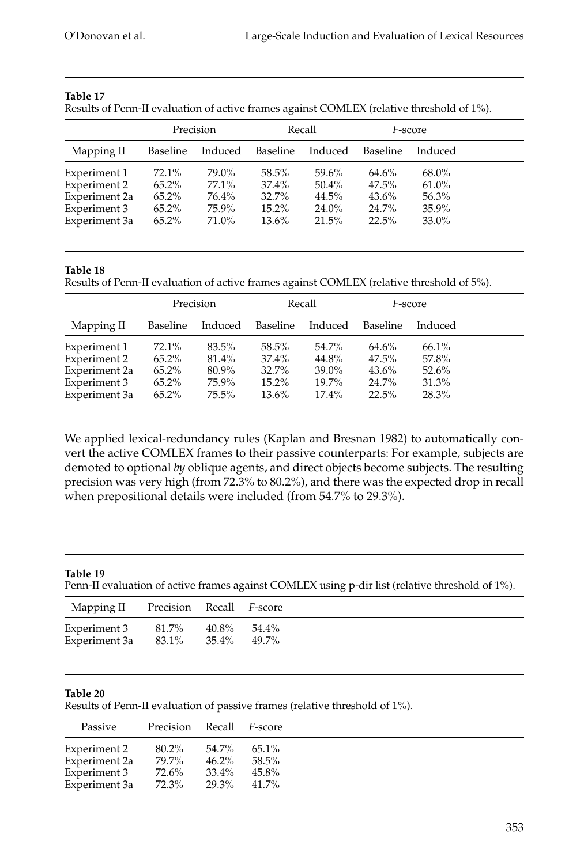|               |          | Precision |          | Recall   |          | <i>F</i> -score |
|---------------|----------|-----------|----------|----------|----------|-----------------|
| Mapping II    | Baseline | Induced   | Baseline | Induced  | Baseline | Induced         |
| Experiment 1  | 72.1%    | 79.0%     | 58.5%    | 59.6%    | 64.6%    | 68.0%           |
| Experiment 2  | $65.2\%$ | 77.1%     | 37.4%    | $50.4\%$ | 47.5%    | $61.0\%$        |
| Experiment 2a | $65.2\%$ | 76.4%     | 32.7%    | 44.5%    | $43.6\%$ | 56.3%           |
| Experiment 3  | 65.2%    | 75.9%     | $15.2\%$ | 24.0%    | 24.7%    | 35.9%           |
| Experiment 3a | 65.2%    | 71.0%     | 13.6%    | 21.5%    | 22.5%    | $33.0\%$        |

Results of Penn-II evaluation of active frames against COMLEX (relative threshold of 1%).

#### **Table 18**

Results of Penn-II evaluation of active frames against COMLEX (relative threshold of 5%).

|                                                                                       |                                                 | Precision                                    |                                              | Recall                                             |                                              | <i>F</i> -score                           |  |
|---------------------------------------------------------------------------------------|-------------------------------------------------|----------------------------------------------|----------------------------------------------|----------------------------------------------------|----------------------------------------------|-------------------------------------------|--|
| Mapping II                                                                            | <b>Baseline</b>                                 | Induced                                      | Baseline                                     | Induced                                            | Baseline                                     | Induced                                   |  |
| <b>Experiment 1</b><br>Experiment 2<br>Experiment 2a<br>Experiment 3<br>Experiment 3a | 72.1%<br>65.2%<br>65.2%<br>$65.2\%$<br>$65.2\%$ | 83.5%<br>81.4%<br>80.9%<br>75.9%<br>$75.5\%$ | 58.5%<br>37.4%<br>32.7%<br>$15.2\%$<br>13.6% | 54.7%<br>44.8%<br>$39.0\%$<br>$19.7\%$<br>$17.4\%$ | 64.6%<br>47.5%<br>$43.6\%$<br>24.7%<br>22.5% | 66.1%<br>57.8%<br>52.6%<br>31.3%<br>28.3% |  |

We applied lexical-redundancy rules (Kaplan and Bresnan 1982) to automatically convert the active COMLEX frames to their passive counterparts: For example, subjects are demoted to optional *by* oblique agents, and direct objects become subjects. The resulting precision was very high (from 72.3% to 80.2%), and there was the expected drop in recall when prepositional details were included (from 54.7% to 29.3%).

#### **Table 19**

Penn-II evaluation of active frames against COMLEX using p-dir list (relative threshold of 1%).

| Mapping II Precision Recall <i>F</i> -score                              |  |  |
|--------------------------------------------------------------------------|--|--|
| Experiment 3 $81.7\%$ $40.8\%$ 54.4\%<br>Experiment 3a 83.1% 35.4% 49.7% |  |  |

#### **Table 20**

Results of Penn-II evaluation of passive frames (relative threshold of 1%).

| Passive       | Precision | Recall | <i>F-score</i> |
|---------------|-----------|--------|----------------|
|               |           |        |                |
| Experiment 2  | 80.2%     | 54.7%  | $65.1\%$       |
| Experiment 2a | 79.7%     | 46.2%  | 58.5%          |
| Experiment 3  | 72.6%     | 33.4%  | 45.8%          |
| Experiment 3a | 72.3%     | 29.3%  | 41.7%          |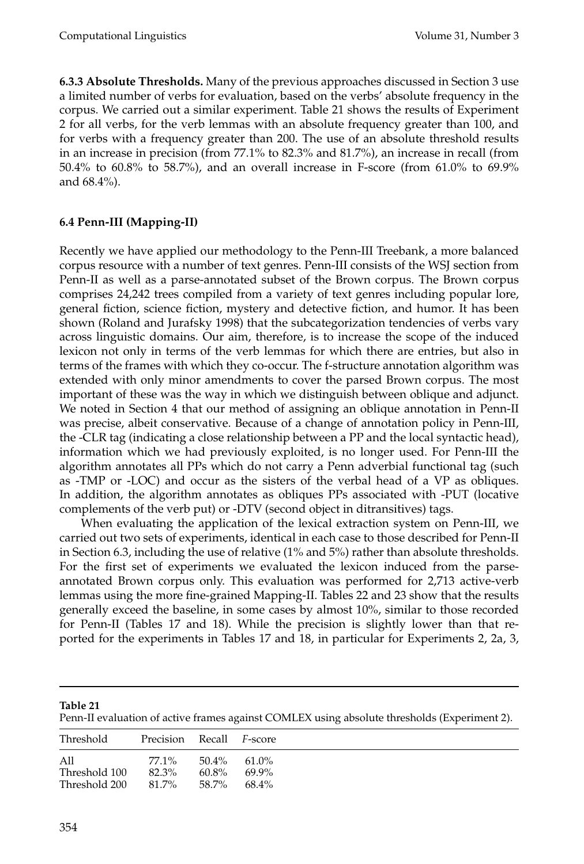**6.3.3 Absolute Thresholds.** Many of the previous approaches discussed in Section 3 use a limited number of verbs for evaluation, based on the verbs' absolute frequency in the corpus. We carried out a similar experiment. Table 21 shows the results of Experiment 2 for all verbs, for the verb lemmas with an absolute frequency greater than 100, and for verbs with a frequency greater than 200. The use of an absolute threshold results in an increase in precision (from 77.1% to 82.3% and 81.7%), an increase in recall (from 50.4% to 60.8% to 58.7%), and an overall increase in F-score (from 61.0% to 69.9% and 68.4%).

# **6.4 Penn-III (Mapping-II)**

Recently we have applied our methodology to the Penn-III Treebank, a more balanced corpus resource with a number of text genres. Penn-III consists of the WSJ section from Penn-II as well as a parse-annotated subset of the Brown corpus. The Brown corpus comprises 24,242 trees compiled from a variety of text genres including popular lore, general fiction, science fiction, mystery and detective fiction, and humor. It has been shown (Roland and Jurafsky 1998) that the subcategorization tendencies of verbs vary across linguistic domains. Our aim, therefore, is to increase the scope of the induced lexicon not only in terms of the verb lemmas for which there are entries, but also in terms of the frames with which they co-occur. The f-structure annotation algorithm was extended with only minor amendments to cover the parsed Brown corpus. The most important of these was the way in which we distinguish between oblique and adjunct. We noted in Section 4 that our method of assigning an oblique annotation in Penn-II was precise, albeit conservative. Because of a change of annotation policy in Penn-III, the -CLR tag (indicating a close relationship between a PP and the local syntactic head), information which we had previously exploited, is no longer used. For Penn-III the algorithm annotates all PPs which do not carry a Penn adverbial functional tag (such as -TMP or -LOC) and occur as the sisters of the verbal head of a VP as obliques. In addition, the algorithm annotates as obliques PPs associated with -PUT (locative complements of the verb put) or -DTV (second object in ditransitives) tags.

When evaluating the application of the lexical extraction system on Penn-III, we carried out two sets of experiments, identical in each case to those described for Penn-II in Section 6.3, including the use of relative (1% and 5%) rather than absolute thresholds. For the first set of experiments we evaluated the lexicon induced from the parseannotated Brown corpus only. This evaluation was performed for 2,713 active-verb lemmas using the more fine-grained Mapping-II. Tables 22 and 23 show that the results generally exceed the baseline, in some cases by almost 10%, similar to those recorded for Penn-II (Tables 17 and 18). While the precision is slightly lower than that reported for the experiments in Tables 17 and 18, in particular for Experiments 2, 2a, 3,

| Table 21                                                                                     |  |
|----------------------------------------------------------------------------------------------|--|
| Penn-II evaluation of active frames against COMLEX using absolute thresholds (Experiment 2). |  |

| Threshold                             | Precision Recall <i>F</i> -score |                                                       |  |
|---------------------------------------|----------------------------------|-------------------------------------------------------|--|
| All<br>Threshold 100<br>Threshold 200 | 77.1%<br>82.3%<br>81.7%          | $50.4\%$ $61.0\%$<br>$60.8\%$ $69.9\%$<br>58.7% 68.4% |  |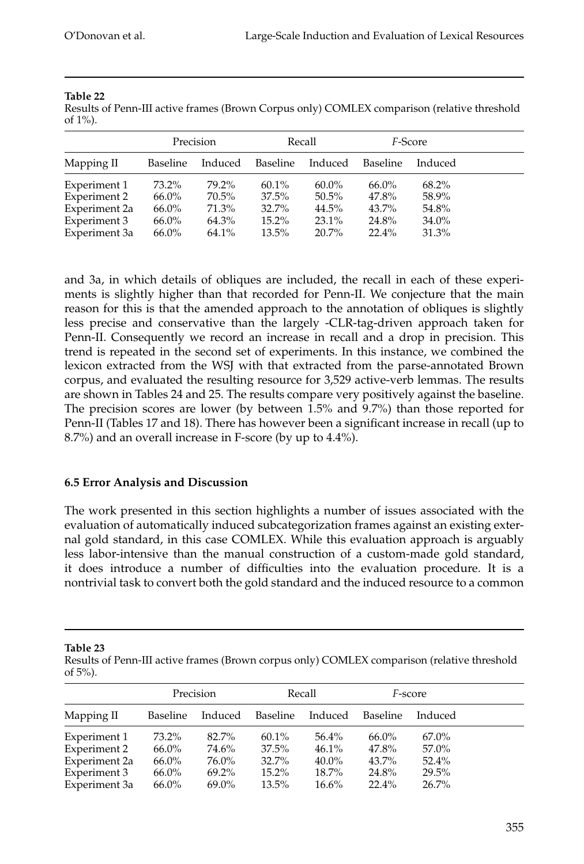Results of Penn-III active frames (Brown Corpus only) COMLEX comparison (relative threshold of 1%).

|                                                                                | Precision                                       |                                           | Recall                                             |                                                       | F-Score                                         |                                              |
|--------------------------------------------------------------------------------|-------------------------------------------------|-------------------------------------------|----------------------------------------------------|-------------------------------------------------------|-------------------------------------------------|----------------------------------------------|
| Mapping II                                                                     | Baseline                                        | Induced                                   | Baseline                                           | Induced                                               | Baseline                                        | Induced                                      |
| Experiment 1<br>Experiment 2<br>Experiment 2a<br>Experiment 3<br>Experiment 3a | 73.2%<br>66.0%<br>$66.0\%$<br>$66.0\%$<br>66.0% | 79.2%<br>70.5%<br>71.3%<br>64.3%<br>64.1% | $60.1\%$<br>37.5%<br>32.7%<br>$15.2\%$<br>$13.5\%$ | $60.0\%$<br>$50.5\%$<br>44.5%<br>$23.1\%$<br>$20.7\%$ | 66.0%<br>47.8%<br>$43.7\%$<br>24.8%<br>$22.4\%$ | $68.2\%$<br>58.9%<br>54.8%<br>34.0%<br>31.3% |

and 3a, in which details of obliques are included, the recall in each of these experiments is slightly higher than that recorded for Penn-II. We conjecture that the main reason for this is that the amended approach to the annotation of obliques is slightly less precise and conservative than the largely -CLR-tag-driven approach taken for Penn-II. Consequently we record an increase in recall and a drop in precision. This trend is repeated in the second set of experiments. In this instance, we combined the lexicon extracted from the WSJ with that extracted from the parse-annotated Brown corpus, and evaluated the resulting resource for 3,529 active-verb lemmas. The results are shown in Tables 24 and 25. The results compare very positively against the baseline. The precision scores are lower (by between 1.5% and 9.7%) than those reported for Penn-II (Tables 17 and 18). There has however been a significant increase in recall (up to 8.7%) and an overall increase in F-score (by up to 4.4%).

## **6.5 Error Analysis and Discussion**

The work presented in this section highlights a number of issues associated with the evaluation of automatically induced subcategorization frames against an existing external gold standard, in this case COMLEX. While this evaluation approach is arguably less labor-intensive than the manual construction of a custom-made gold standard, it does introduce a number of difficulties into the evaluation procedure. It is a nontrivial task to convert both the gold standard and the induced resource to a common

## **Table 23**

Results of Penn-III active frames (Brown corpus only) COMLEX comparison (relative threshold of 5%).

|               | Precision |          | Recall   |          | <i>F</i> -score |         |
|---------------|-----------|----------|----------|----------|-----------------|---------|
| Mapping II    | Baseline  | Induced  | Baseline | Induced  | Baseline        | Induced |
| Experiment 1  | 73.2%     | 82.7%    | $60.1\%$ | $56.4\%$ | $66.0\%$        | 67.0%   |
| Experiment 2  | $66.0\%$  | 74.6%    | $37.5\%$ | $46.1\%$ | 47.8%           | 57.0%   |
| Experiment 2a | $66.0\%$  | 76.0%    | 32.7%    | $40.0\%$ | 43.7%           | 52.4%   |
| Experiment 3  | $66.0\%$  | $69.2\%$ | $15.2\%$ | 18.7%    | 24.8%           | 29.5%   |
| Experiment 3a | 66.0%     | $69.0\%$ | 13.5%    | $16.6\%$ | $22.4\%$        | 26.7%   |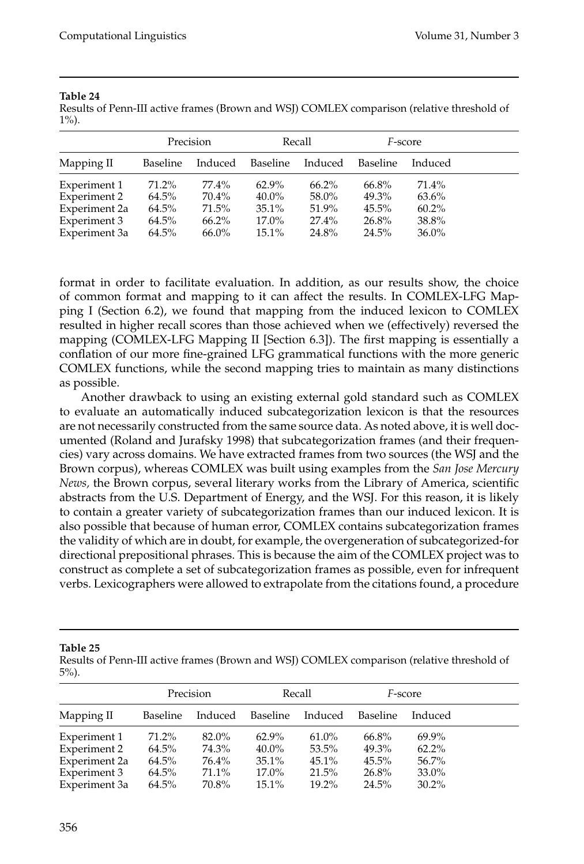Results of Penn-III active frames (Brown and WSJ) COMLEX comparison (relative threshold of  $1\%$ ).

|               | Precision |          | Recall   |          | F-score  |          |  |
|---------------|-----------|----------|----------|----------|----------|----------|--|
| Mapping II    | Baseline  | Induced  | Baseline | Induced  | Baseline | Induced  |  |
| Experiment 1  | 71.2%     | 77.4%    | $62.9\%$ | $66.2\%$ | 66.8%    | 71.4%    |  |
| Experiment 2  | 64.5%     | 70.4%    | $40.0\%$ | 58.0%    | 49.3%    | 63.6%    |  |
| Experiment 2a | 64.5%     | 71.5%    | 35.1%    | 51.9%    | $45.5\%$ | $60.2\%$ |  |
| Experiment 3  | 64.5%     | $66.2\%$ | 17.0%    | 27.4%    | 26.8%    | 38.8%    |  |
| Experiment 3a | 64.5%     | $66.0\%$ | 15.1%    | 24.8%    | $24.5\%$ | $36.0\%$ |  |

format in order to facilitate evaluation. In addition, as our results show, the choice of common format and mapping to it can affect the results. In COMLEX-LFG Mapping I (Section 6.2), we found that mapping from the induced lexicon to COMLEX resulted in higher recall scores than those achieved when we (effectively) reversed the mapping (COMLEX-LFG Mapping II [Section 6.3]). The first mapping is essentially a conflation of our more fine-grained LFG grammatical functions with the more generic COMLEX functions, while the second mapping tries to maintain as many distinctions as possible.

Another drawback to using an existing external gold standard such as COMLEX to evaluate an automatically induced subcategorization lexicon is that the resources are not necessarily constructed from the same source data. As noted above, it is well documented (Roland and Jurafsky 1998) that subcategorization frames (and their frequencies) vary across domains. We have extracted frames from two sources (the WSJ and the Brown corpus), whereas COMLEX was built using examples from the *San Jose Mercury News,* the Brown corpus, several literary works from the Library of America, scientific abstracts from the U.S. Department of Energy, and the WSJ. For this reason, it is likely to contain a greater variety of subcategorization frames than our induced lexicon. It is also possible that because of human error, COMLEX contains subcategorization frames the validity of which are in doubt, for example, the overgeneration of subcategorized-for directional prepositional phrases. This is because the aim of the COMLEX project was to construct as complete a set of subcategorization frames as possible, even for infrequent verbs. Lexicographers were allowed to extrapolate from the citations found, a procedure

**Table 25**

Results of Penn-III active frames (Brown and WSJ) COMLEX comparison (relative threshold of 5%).

| Precision |         | Recall   |          | F-score  |          |
|-----------|---------|----------|----------|----------|----------|
| Baseline  | Induced | Baseline | Induced  | Baseline | Induced  |
| 71.2%     | 82.0%   | $62.9\%$ | 61.0%    | 66.8%    | 69.9%    |
| 64.5%     | 74.3%   | $40.0\%$ | 53.5%    | 49.3%    | $62.2\%$ |
| 64.5%     | 76.4%   | 35.1%    | 45.1%    | $45.5\%$ | 56.7%    |
| 64.5%     | 71.1%   | 17.0%    | 21.5%    | 26.8%    | 33.0%    |
| 64.5%     | 70.8%   | 15.1%    | $19.2\%$ | 24.5%    | $30.2\%$ |
|           |         |          |          |          |          |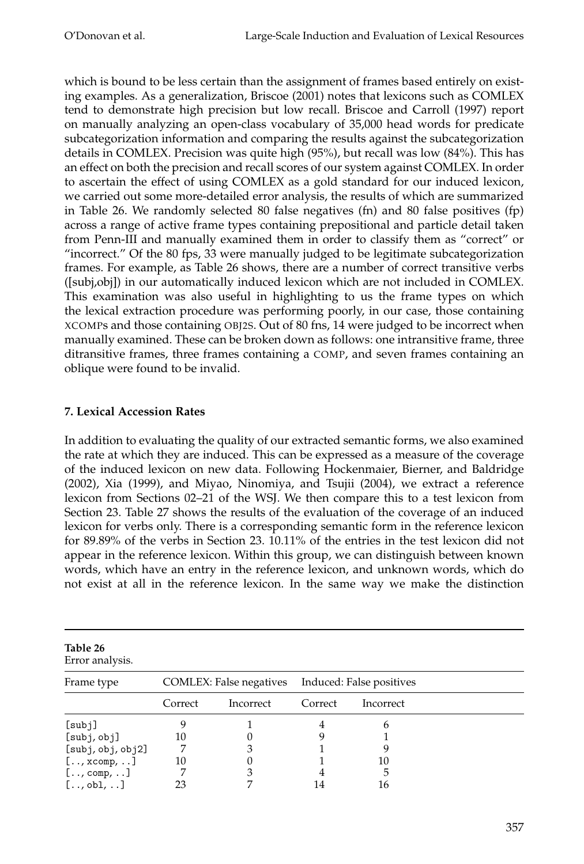which is bound to be less certain than the assignment of frames based entirely on existing examples. As a generalization, Briscoe (2001) notes that lexicons such as COMLEX tend to demonstrate high precision but low recall. Briscoe and Carroll (1997) report on manually analyzing an open-class vocabulary of 35,000 head words for predicate subcategorization information and comparing the results against the subcategorization details in COMLEX. Precision was quite high (95%), but recall was low (84%). This has an effect on both the precision and recall scores of our system against COMLEX. In order to ascertain the effect of using COMLEX as a gold standard for our induced lexicon, we carried out some more-detailed error analysis, the results of which are summarized in Table 26. We randomly selected 80 false negatives (fn) and 80 false positives (fp) across a range of active frame types containing prepositional and particle detail taken from Penn-III and manually examined them in order to classify them as "correct" or "incorrect." Of the 80 fps, 33 were manually judged to be legitimate subcategorization frames. For example, as Table 26 shows, there are a number of correct transitive verbs ([subj,obj]) in our automatically induced lexicon which are not included in COMLEX. This examination was also useful in highlighting to us the frame types on which the lexical extraction procedure was performing poorly, in our case, those containing XCOMPs and those containing OBJ2S. Out of 80 fns, 14 were judged to be incorrect when manually examined. These can be broken down as follows: one intransitive frame, three ditransitive frames, three frames containing a COMP, and seven frames containing an oblique were found to be invalid.

# **7. Lexical Accession Rates**

In addition to evaluating the quality of our extracted semantic forms, we also examined the rate at which they are induced. This can be expressed as a measure of the coverage of the induced lexicon on new data. Following Hockenmaier, Bierner, and Baldridge (2002), Xia (1999), and Miyao, Ninomiya, and Tsujii (2004), we extract a reference lexicon from Sections 02–21 of the WSJ. We then compare this to a test lexicon from Section 23. Table 27 shows the results of the evaluation of the coverage of an induced lexicon for verbs only. There is a corresponding semantic form in the reference lexicon for 89.89% of the verbs in Section 23. 10.11% of the entries in the test lexicon did not appear in the reference lexicon. Within this group, we can distinguish between known words, which have an entry in the reference lexicon, and unknown words, which do not exist at all in the reference lexicon. In the same way we make the distinction

| Table 26<br>Error analysis.          |         |                         |         |                          |
|--------------------------------------|---------|-------------------------|---------|--------------------------|
| Frame type                           |         | COMLEX: False negatives |         | Induced: False positives |
|                                      | Correct | Incorrect               | Correct | Incorrect                |
| [subj]                               |         |                         |         |                          |
| [subj, obj]                          | 10      |                         |         |                          |
| [subj, obj, obj2]                    |         | З                       |         |                          |
| $[ \ldots, \texttt{xcomp}, \ldots ]$ | 10      |                         |         | 10                       |
| $[ \ldots, \text{comp}, \ldots ]$    |         | 3                       |         | 5                        |
| [.,ob1,]                             | 23      |                         |         | 16                       |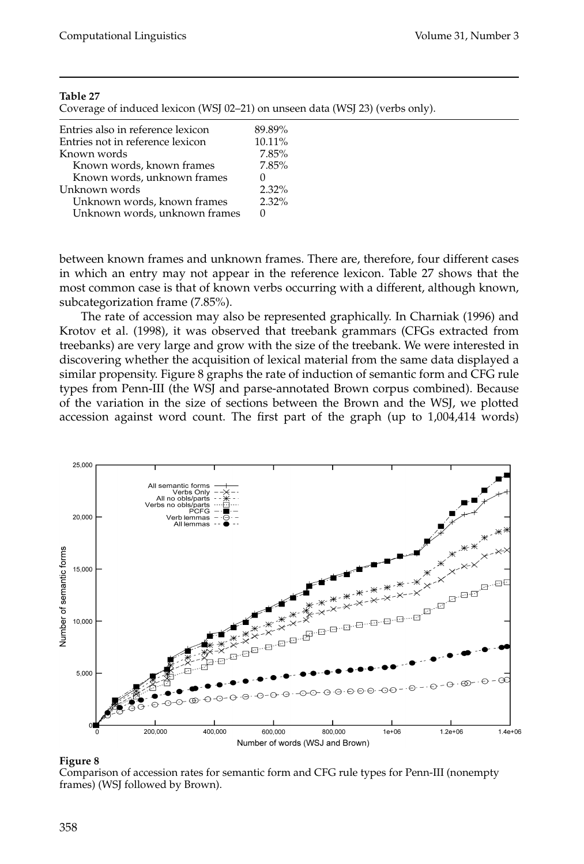Coverage of induced lexicon (WSJ 02–21) on unseen data (WSJ 23) (verbs only).

| Entries also in reference lexicon | 89.89%   |
|-----------------------------------|----------|
| Entries not in reference lexicon  | 10.11%   |
| Known words                       | 7.85%    |
| Known words, known frames         | 7.85%    |
| Known words, unknown frames       |          |
| Unknown words                     | $2.32\%$ |
| Unknown words, known frames       | $2.32\%$ |
| Unknown words, unknown frames     |          |

between known frames and unknown frames. There are, therefore, four different cases in which an entry may not appear in the reference lexicon. Table 27 shows that the most common case is that of known verbs occurring with a different, although known, subcategorization frame (7.85%).

The rate of accession may also be represented graphically. In Charniak (1996) and Krotov et al. (1998), it was observed that treebank grammars (CFGs extracted from treebanks) are very large and grow with the size of the treebank. We were interested in discovering whether the acquisition of lexical material from the same data displayed a similar propensity. Figure 8 graphs the rate of induction of semantic form and CFG rule types from Penn-III (the WSJ and parse-annotated Brown corpus combined). Because of the variation in the size of sections between the Brown and the WSJ, we plotted accession against word count. The first part of the graph (up to 1,004,414 words)



#### **Figure 8**

Comparison of accession rates for semantic form and CFG rule types for Penn-III (nonempty frames) (WSJ followed by Brown).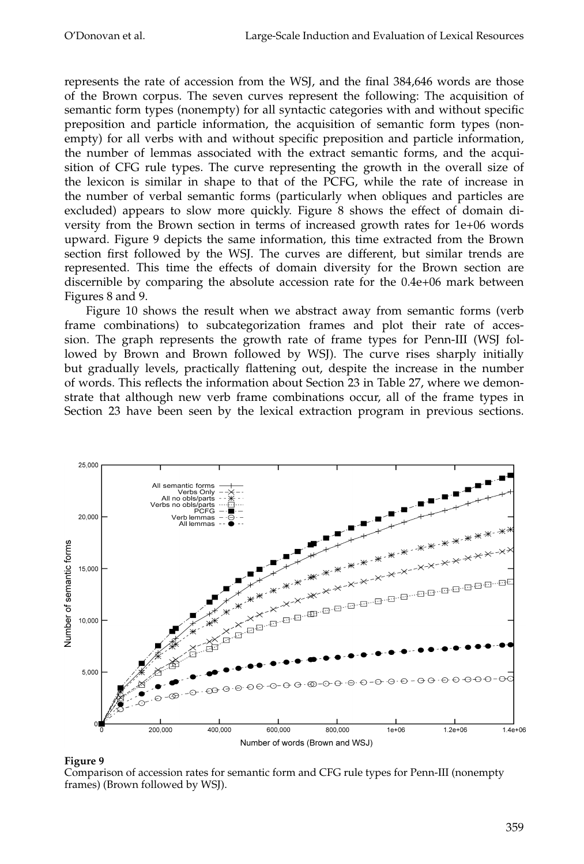represents the rate of accession from the WSJ, and the final 384,646 words are those of the Brown corpus. The seven curves represent the following: The acquisition of semantic form types (nonempty) for all syntactic categories with and without specific preposition and particle information, the acquisition of semantic form types (nonempty) for all verbs with and without specific preposition and particle information, the number of lemmas associated with the extract semantic forms, and the acquisition of CFG rule types. The curve representing the growth in the overall size of the lexicon is similar in shape to that of the PCFG, while the rate of increase in the number of verbal semantic forms (particularly when obliques and particles are excluded) appears to slow more quickly. Figure 8 shows the effect of domain diversity from the Brown section in terms of increased growth rates for 1e+06 words upward. Figure 9 depicts the same information, this time extracted from the Brown section first followed by the WSJ. The curves are different, but similar trends are represented. This time the effects of domain diversity for the Brown section are discernible by comparing the absolute accession rate for the 0.4e+06 mark between Figures 8 and 9.

Figure 10 shows the result when we abstract away from semantic forms (verb frame combinations) to subcategorization frames and plot their rate of accession. The graph represents the growth rate of frame types for Penn-III (WSJ followed by Brown and Brown followed by WSJ). The curve rises sharply initially but gradually levels, practically flattening out, despite the increase in the number of words. This reflects the information about Section 23 in Table 27, where we demonstrate that although new verb frame combinations occur, all of the frame types in Section 23 have been seen by the lexical extraction program in previous sections.



## **Figure 9**

Comparison of accession rates for semantic form and CFG rule types for Penn-III (nonempty frames) (Brown followed by WSJ).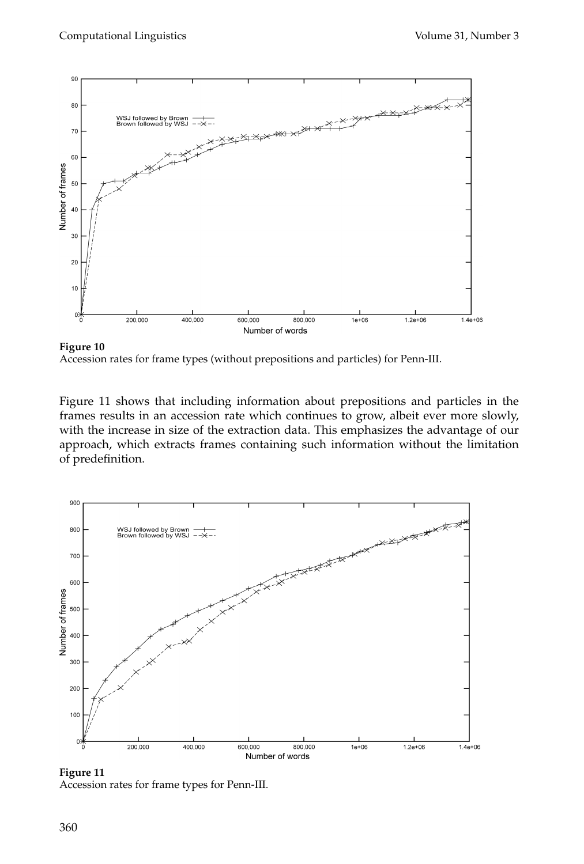

**Figure 10**



Figure 11 shows that including information about prepositions and particles in the frames results in an accession rate which continues to grow, albeit ever more slowly, with the increase in size of the extraction data. This emphasizes the advantage of our approach, which extracts frames containing such information without the limitation of predefinition.



**Figure 11** Accession rates for frame types for Penn-III.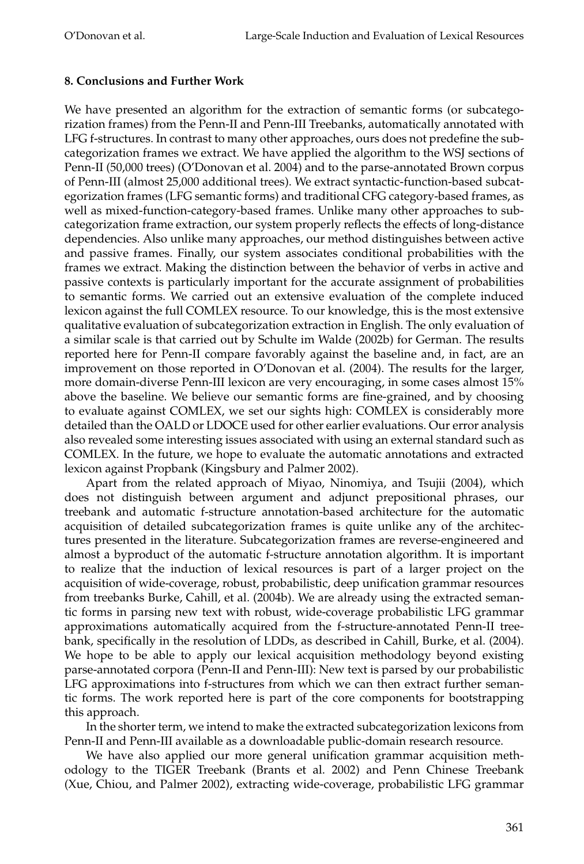# **8. Conclusions and Further Work**

We have presented an algorithm for the extraction of semantic forms (or subcategorization frames) from the Penn-II and Penn-III Treebanks, automatically annotated with LFG f-structures. In contrast to many other approaches, ours does not predefine the subcategorization frames we extract. We have applied the algorithm to the WSJ sections of Penn-II (50,000 trees) (O'Donovan et al. 2004) and to the parse-annotated Brown corpus of Penn-III (almost 25,000 additional trees). We extract syntactic-function-based subcategorization frames (LFG semantic forms) and traditional CFG category-based frames, as well as mixed-function-category-based frames. Unlike many other approaches to subcategorization frame extraction, our system properly reflects the effects of long-distance dependencies. Also unlike many approaches, our method distinguishes between active and passive frames. Finally, our system associates conditional probabilities with the frames we extract. Making the distinction between the behavior of verbs in active and passive contexts is particularly important for the accurate assignment of probabilities to semantic forms. We carried out an extensive evaluation of the complete induced lexicon against the full COMLEX resource. To our knowledge, this is the most extensive qualitative evaluation of subcategorization extraction in English. The only evaluation of a similar scale is that carried out by Schulte im Walde (2002b) for German. The results reported here for Penn-II compare favorably against the baseline and, in fact, are an improvement on those reported in O'Donovan et al. (2004). The results for the larger, more domain-diverse Penn-III lexicon are very encouraging, in some cases almost 15% above the baseline. We believe our semantic forms are fine-grained, and by choosing to evaluate against COMLEX, we set our sights high: COMLEX is considerably more detailed than the OALD or LDOCE used for other earlier evaluations. Our error analysis also revealed some interesting issues associated with using an external standard such as COMLEX. In the future, we hope to evaluate the automatic annotations and extracted lexicon against Propbank (Kingsbury and Palmer 2002).

Apart from the related approach of Miyao, Ninomiya, and Tsujii (2004), which does not distinguish between argument and adjunct prepositional phrases, our treebank and automatic f-structure annotation-based architecture for the automatic acquisition of detailed subcategorization frames is quite unlike any of the architectures presented in the literature. Subcategorization frames are reverse-engineered and almost a byproduct of the automatic f-structure annotation algorithm. It is important to realize that the induction of lexical resources is part of a larger project on the acquisition of wide-coverage, robust, probabilistic, deep unification grammar resources from treebanks Burke, Cahill, et al. (2004b). We are already using the extracted semantic forms in parsing new text with robust, wide-coverage probabilistic LFG grammar approximations automatically acquired from the f-structure-annotated Penn-II treebank, specifically in the resolution of LDDs, as described in Cahill, Burke, et al. (2004). We hope to be able to apply our lexical acquisition methodology beyond existing parse-annotated corpora (Penn-II and Penn-III): New text is parsed by our probabilistic LFG approximations into f-structures from which we can then extract further semantic forms. The work reported here is part of the core components for bootstrapping this approach.

In the shorter term, we intend to make the extracted subcategorization lexicons from Penn-II and Penn-III available as a downloadable public-domain research resource.

We have also applied our more general unification grammar acquisition methodology to the TIGER Treebank (Brants et al. 2002) and Penn Chinese Treebank (Xue, Chiou, and Palmer 2002), extracting wide-coverage, probabilistic LFG grammar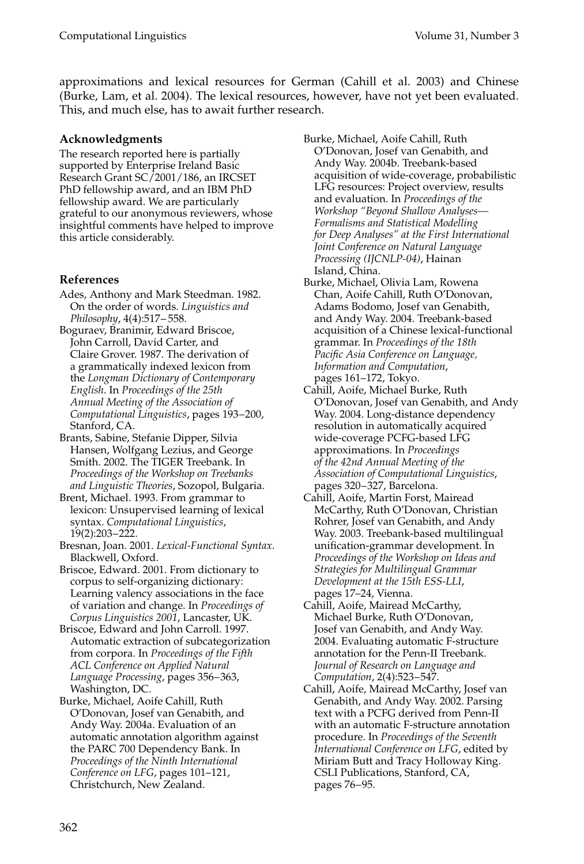approximations and lexical resources for German (Cahill et al. 2003) and Chinese (Burke, Lam, et al. 2004). The lexical resources, however, have not yet been evaluated. This, and much else, has to await further research.

# **Acknowledgments**

The research reported here is partially supported by Enterprise Ireland Basic Research Grant SC/2001/186, an IRCSET PhD fellowship award, and an IBM PhD fellowship award. We are particularly grateful to our anonymous reviewers, whose insightful comments have helped to improve this article considerably.

# **References**

- Ades, Anthony and Mark Steedman. 1982. On the order of words. *Linguistics and Philosophy*, 4(4):517– 558.
- Boguraev, Branimir, Edward Briscoe, John Carroll, David Carter, and Claire Grover. 1987. The derivation of a grammatically indexed lexicon from the *Longman Dictionary of Contemporary English*. In *Proceedings of the 25th Annual Meeting of the Association of Computational Linguistics*, pages 193–200, Stanford, CA.
- Brants, Sabine, Stefanie Dipper, Silvia Hansen, Wolfgang Lezius, and George Smith. 2002. The TIGER Treebank. In *Proceedings of the Workshop on Treebanks and Linguistic Theories*, Sozopol, Bulgaria.
- Brent, Michael. 1993. From grammar to lexicon: Unsupervised learning of lexical syntax. *Computational Linguistics*, 19(2):203–222.
- Bresnan, Joan. 2001. *Lexical-Functional Syntax*. Blackwell, Oxford.
- Briscoe, Edward. 2001. From dictionary to corpus to self-organizing dictionary: Learning valency associations in the face of variation and change. In *Proceedings of Corpus Linguistics 2001*, Lancaster, UK.
- Briscoe, Edward and John Carroll. 1997. Automatic extraction of subcategorization from corpora. In *Proceedings of the Fifth ACL Conference on Applied Natural Language Processing*, pages 356–363, Washington, DC.

Burke, Michael, Aoife Cahill, Ruth O'Donovan, Josef van Genabith, and Andy Way. 2004a. Evaluation of an automatic annotation algorithm against the PARC 700 Dependency Bank. In *Proceedings of the Ninth International Conference on LFG*, pages 101–121, Christchurch, New Zealand.

Burke, Michael, Aoife Cahill, Ruth O'Donovan, Josef van Genabith, and Andy Way. 2004b. Treebank-based acquisition of wide-coverage, probabilistic LFG resources: Project overview, results and evaluation. In *Proceedings of the Workshop "Beyond Shallow Analyses— Formalisms and Statistical Modelling for Deep Analyses" at the First International Joint Conference on Natural Language Processing (IJCNLP-04)*, Hainan Island, China.

- Burke, Michael, Olivia Lam, Rowena Chan, Aoife Cahill, Ruth O'Donovan, Adams Bodomo, Josef van Genabith, and Andy Way. 2004. Treebank-based acquisition of a Chinese lexical-functional grammar. In *Proceedings of the 18th Pacific Asia Conference on Language, Information and Computation*, pages 161–172, Tokyo.
- Cahill, Aoife, Michael Burke, Ruth O'Donovan, Josef van Genabith, and Andy Way. 2004. Long-distance dependency resolution in automatically acquired wide-coverage PCFG-based LFG approximations. In *Proceedings of the 42nd Annual Meeting of the Association of Computational Linguistics*, pages 320–327, Barcelona.
- Cahill, Aoife, Martin Forst, Mairead McCarthy, Ruth O'Donovan, Christian Rohrer, Josef van Genabith, and Andy Way. 2003. Treebank-based multilingual unification-grammar development. In *Proceedings of the Workshop on Ideas and Strategies for Multilingual Grammar Development at the 15th ESS-LLI*, pages 17–24, Vienna.
- Cahill, Aoife, Mairead McCarthy, Michael Burke, Ruth O'Donovan, Josef van Genabith, and Andy Way. 2004. Evaluating automatic F-structure annotation for the Penn-II Treebank. *Journal of Research on Language and Computation*, 2(4):523–547.
- Cahill, Aoife, Mairead McCarthy, Josef van Genabith, and Andy Way. 2002. Parsing text with a PCFG derived from Penn-II with an automatic F-structure annotation procedure. In *Proceedings of the Seventh International Conference on LFG*, edited by Miriam Butt and Tracy Holloway King. CSLI Publications, Stanford, CA, pages 76–95.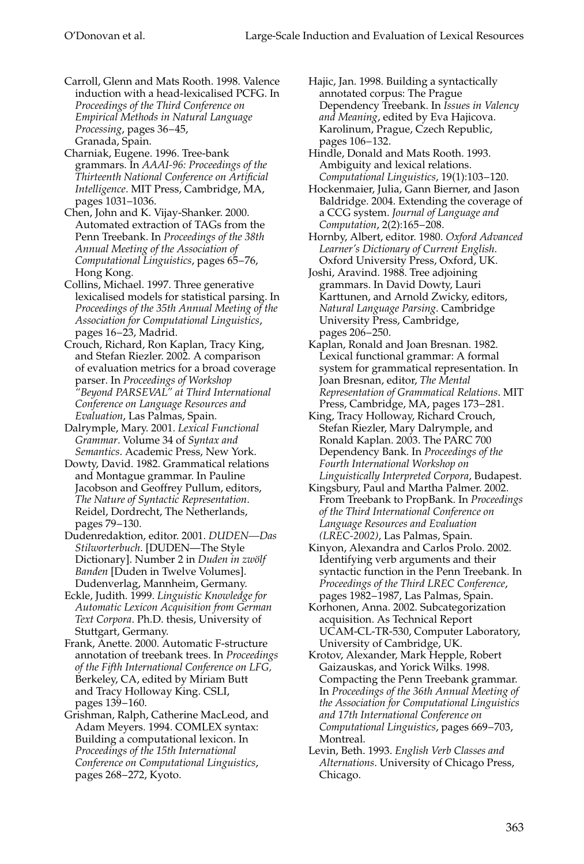- Carroll, Glenn and Mats Rooth. 1998. Valence induction with a head-lexicalised PCFG. In *Proceedings of the Third Conference on Empirical Methods in Natural Language Processing*, pages 36–45, Granada, Spain.
- Charniak, Eugene. 1996. Tree-bank grammars. In *AAAI-96: Proceedings of the Thirteenth National Conference on Artificial Intelligence*. MIT Press, Cambridge, MA, pages 1031–1036.
- Chen, John and K. Vijay-Shanker. 2000. Automated extraction of TAGs from the Penn Treebank. In *Proceedings of the 38th Annual Meeting of the Association of Computational Linguistics*, pages 65–76, Hong Kong.
- Collins, Michael. 1997. Three generative lexicalised models for statistical parsing. In *Proceedings of the 35th Annual Meeting of the Association for Computational Linguistics*, pages 16–23, Madrid.
- Crouch, Richard, Ron Kaplan, Tracy King, and Stefan Riezler. 2002. A comparison of evaluation metrics for a broad coverage parser. In *Proceedings of Workshop "Beyond PARSEVAL" at Third International Conference on Language Resources and Evaluation*, Las Palmas, Spain.
- Dalrymple, Mary. 2001. *Lexical Functional Grammar*. Volume 34 of *Syntax and Semantics*. Academic Press, New York.
- Dowty, David. 1982. Grammatical relations and Montague grammar. In Pauline Jacobson and Geoffrey Pullum, editors, *The Nature of Syntactic Representation*. Reidel, Dordrecht, The Netherlands, pages 79–130.
- Dudenredaktion, editor. 2001. *DUDEN—Das Stilworterbuch*. [DUDEN—The Style Dictionary]. Number 2 in *Duden in zwölf Banden* [Duden in Twelve Volumes]. Dudenverlag, Mannheim, Germany.
- Eckle, Judith. 1999. *Linguistic Knowledge for Automatic Lexicon Acquisition from German Text Corpora*. Ph.D. thesis, University of Stuttgart, Germany.
- Frank, Anette. 2000. Automatic F-structure annotation of treebank trees. In *Proceedings of the Fifth International Conference on LFG,* Berkeley, CA, edited by Miriam Butt and Tracy Holloway King. CSLI, pages 139–160.
- Grishman, Ralph, Catherine MacLeod, and Adam Meyers. 1994. COMLEX syntax: Building a computational lexicon. In *Proceedings of the 15th International Conference on Computational Linguistics*, pages 268–272, Kyoto.
- Hajic, Jan. 1998. Building a syntactically annotated corpus: The Prague Dependency Treebank. In *Issues in Valency and Meaning*, edited by Eva Hajicova. Karolinum, Prague, Czech Republic, pages 106–132.
- Hindle, Donald and Mats Rooth. 1993. Ambiguity and lexical relations. *Computational Linguistics*, 19(1):103–120.
- Hockenmaier, Julia, Gann Bierner, and Jason Baldridge. 2004. Extending the coverage of a CCG system. *Journal of Language and Computation*, 2(2):165–208.
- Hornby, Albert, editor. 1980. *Oxford Advanced Learner's Dictionary of Current English*. Oxford University Press, Oxford, UK.
- Joshi, Aravind. 1988. Tree adjoining grammars. In David Dowty, Lauri Karttunen, and Arnold Zwicky, editors, *Natural Language Parsing*. Cambridge University Press, Cambridge, pages 206–250.
- Kaplan, Ronald and Joan Bresnan. 1982. Lexical functional grammar: A formal system for grammatical representation. In Joan Bresnan, editor, *The Mental Representation of Grammatical Relations*. MIT Press, Cambridge, MA, pages 173–281.
- King, Tracy Holloway, Richard Crouch, Stefan Riezler, Mary Dalrymple, and Ronald Kaplan. 2003. The PARC 700 Dependency Bank. In *Proceedings of the Fourth International Workshop on Linguistically Interpreted Corpora*, Budapest.
- Kingsbury, Paul and Martha Palmer. 2002. From Treebank to PropBank. In *Proceedings of the Third International Conference on Language Resources and Evaluation (LREC-2002)*, Las Palmas, Spain.
- Kinyon, Alexandra and Carlos Prolo. 2002. Identifying verb arguments and their syntactic function in the Penn Treebank. In *Proceedings of the Third LREC Conference*, pages 1982–1987, Las Palmas, Spain.
- Korhonen, Anna. 2002. Subcategorization acquisition. As Technical Report UCAM-CL-TR-530, Computer Laboratory, University of Cambridge, UK.
- Krotov, Alexander, Mark Hepple, Robert Gaizauskas, and Yorick Wilks. 1998. Compacting the Penn Treebank grammar. In *Proceedings of the 36th Annual Meeting of the Association for Computational Linguistics and 17th International Conference on Computational Linguistics*, pages 669–703, Montreal.
- Levin, Beth. 1993. *English Verb Classes and Alternations*. University of Chicago Press, Chicago.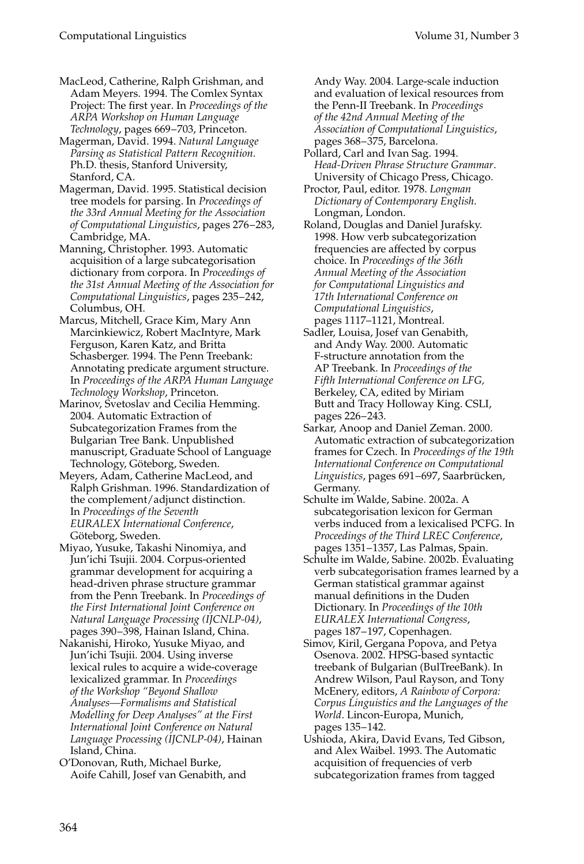- MacLeod, Catherine, Ralph Grishman, and Adam Meyers. 1994. The Comlex Syntax Project: The first year. In *Proceedings of the ARPA Workshop on Human Language Technology*, pages 669–703, Princeton.
- Magerman, David. 1994. *Natural Language Parsing as Statistical Pattern Recognition*. Ph.D. thesis, Stanford University, Stanford, CA.
- Magerman, David. 1995. Statistical decision tree models for parsing. In *Proceedings of the 33rd Annual Meeting for the Association of Computational Linguistics*, pages 276–283, Cambridge, MA.
- Manning, Christopher. 1993. Automatic acquisition of a large subcategorisation dictionary from corpora. In *Proceedings of the 31st Annual Meeting of the Association for Computational Linguistics*, pages 235–242, Columbus, OH.
- Marcus, Mitchell, Grace Kim, Mary Ann Marcinkiewicz, Robert MacIntyre, Mark Ferguson, Karen Katz, and Britta Schasberger. 1994. The Penn Treebank: Annotating predicate argument structure. In *Proceedings of the ARPA Human Language Technology Workshop*, Princeton.
- Marinov, Svetoslav and Cecilia Hemming. 2004. Automatic Extraction of Subcategorization Frames from the Bulgarian Tree Bank. Unpublished manuscript, Graduate School of Language Technology, Göteborg, Sweden.
- Meyers, Adam, Catherine MacLeod, and Ralph Grishman. 1996. Standardization of the complement/adjunct distinction. In *Proceedings of the Seventh EURALEX International Conference*, Göteborg, Sweden.
- Miyao, Yusuke, Takashi Ninomiya, and Jun'ichi Tsujii. 2004. Corpus-oriented grammar development for acquiring a head-driven phrase structure grammar from the Penn Treebank. In *Proceedings of the First International Joint Conference on Natural Language Processing (IJCNLP-04)*, pages 390–398, Hainan Island, China.
- Nakanishi, Hiroko, Yusuke Miyao, and Jun'ichi Tsujii. 2004. Using inverse lexical rules to acquire a wide-coverage lexicalized grammar. In *Proceedings of the Workshop "Beyond Shallow Analyses—Formalisms and Statistical Modelling for Deep Analyses" at the First International Joint Conference on Natural Language Processing (IJCNLP-04)*, Hainan Island, China.
- O'Donovan, Ruth, Michael Burke, Aoife Cahill, Josef van Genabith, and

Andy Way. 2004. Large-scale induction and evaluation of lexical resources from the Penn-II Treebank. In *Proceedings of the 42nd Annual Meeting of the Association of Computational Linguistics*, pages 368–375, Barcelona.

- Pollard, Carl and Ivan Sag. 1994. *Head-Driven Phrase Structure Grammar*. University of Chicago Press, Chicago.
- Proctor, Paul, editor. 1978. *Longman Dictionary of Contemporary English*. Longman, London.
- Roland, Douglas and Daniel Jurafsky. 1998. How verb subcategorization frequencies are affected by corpus choice. In *Proceedings of the 36th Annual Meeting of the Association for Computational Linguistics and 17th International Conference on Computational Linguistics*, pages 1117–1121, Montreal.
- Sadler, Louisa, Josef van Genabith, and Andy Way. 2000. Automatic F-structure annotation from the AP Treebank. In *Proceedings of the Fifth International Conference on LFG,* Berkeley, CA, edited by Miriam Butt and Tracy Holloway King. CSLI, pages 226–243.
- Sarkar, Anoop and Daniel Zeman. 2000. Automatic extraction of subcategorization frames for Czech. In *Proceedings of the 19th International Conference on Computational* Linguistics, pages 691-697, Saarbrücken, Germany.
- Schulte im Walde, Sabine. 2002a. A subcategorisation lexicon for German verbs induced from a lexicalised PCFG. In *Proceedings of the Third LREC Conference*, pages 1351–1357, Las Palmas, Spain.
- Schulte im Walde, Sabine. 2002b. Evaluating verb subcategorisation frames learned by a German statistical grammar against manual definitions in the Duden Dictionary. In *Proceedings of the 10th EURALEX International Congress*, pages 187–197, Copenhagen.
- Simov, Kiril, Gergana Popova, and Petya Osenova. 2002. HPSG-based syntactic treebank of Bulgarian (BulTreeBank). In Andrew Wilson, Paul Rayson, and Tony McEnery, editors, *A Rainbow of Corpora: Corpus Linguistics and the Languages of the World*. Lincon-Europa, Munich, pages 135–142.
- Ushioda, Akira, David Evans, Ted Gibson, and Alex Waibel. 1993. The Automatic acquisition of frequencies of verb subcategorization frames from tagged